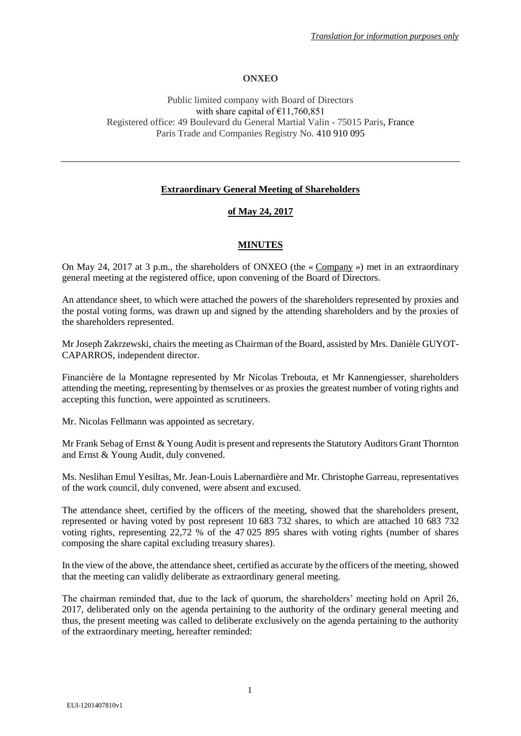# **ONXEO**

## Public limited company with Board of Directors with share capital of  $£11,760,851$ Registered office: 49 Boulevard du General Martial Valin - 75015 Paris, France Paris Trade and Companies Registry No. 410 910 095

# **Extraordinary General Meeting of Shareholders**

## **of May 24, 2017**

## **MINUTES**

On May 24, 2017 at 3 p.m., the shareholders of ONXEO (the « Company ») met in an extraordinary general meeting at the registered office, upon convening of the Board of Directors.

An attendance sheet, to which were attached the powers of the shareholders represented by proxies and the postal voting forms, was drawn up and signed by the attending shareholders and by the proxies of the shareholders represented.

Mr Joseph Zakrzewski, chairs the meeting as Chairman of the Board, assisted by Mrs. Danièle GUYOT-CAPARROS, independent director.

Financière de la Montagne represented by Mr Nicolas Trebouta, et Mr Kannengiesser, shareholders attending the meeting, representing by themselves or as proxies the greatest number of voting rights and accepting this function, were appointed as scrutineers.

Mr. Nicolas Fellmann was appointed as secretary.

Mr Frank Sebag of Ernst & Young Audit is present and represents the Statutory Auditors Grant Thornton and Ernst & Young Audit, duly convened.

Ms. Neslihan Emul Yesiltas, Mr. Jean-Louis Labernardière and Mr. Christophe Garreau, representatives of the work council, duly convened, were absent and excused.

The attendance sheet, certified by the officers of the meeting, showed that the shareholders present, represented or having voted by post represent 10 683 732 shares, to which are attached 10 683 732 voting rights, representing 22,72 % of the 47 025 895 shares with voting rights (number of shares composing the share capital excluding treasury shares).

In the view of the above, the attendance sheet, certified as accurate by the officers of the meeting, showed that the meeting can validly deliberate as extraordinary general meeting.

The chairman reminded that, due to the lack of quorum, the shareholders' meeting hold on April 26, 2017, deliberated only on the agenda pertaining to the authority of the ordinary general meeting and thus, the present meeting was called to deliberate exclusively on the agenda pertaining to the authority of the extraordinary meeting, hereafter reminded: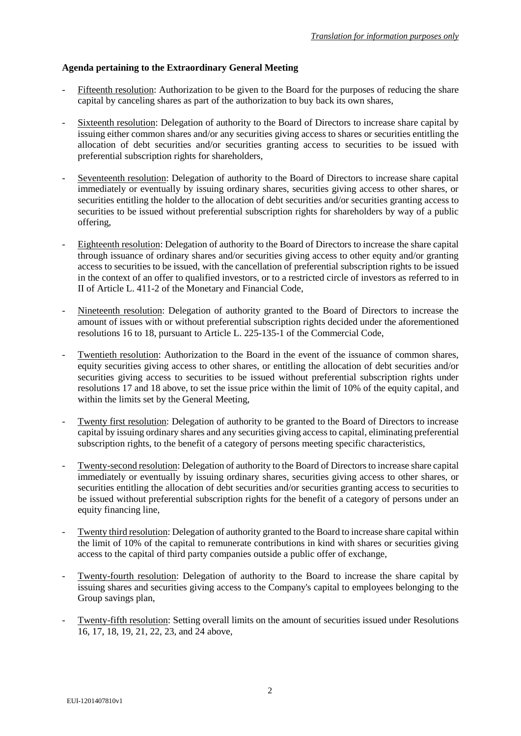# **Agenda pertaining to the Extraordinary General Meeting**

- Fifteenth resolution: Authorization to be given to the Board for the purposes of reducing the share capital by canceling shares as part of the authorization to buy back its own shares,
- Sixteenth resolution: Delegation of authority to the Board of Directors to increase share capital by issuing either common shares and/or any securities giving access to shares or securities entitling the allocation of debt securities and/or securities granting access to securities to be issued with preferential subscription rights for shareholders,
- Seventeenth resolution: Delegation of authority to the Board of Directors to increase share capital immediately or eventually by issuing ordinary shares, securities giving access to other shares, or securities entitling the holder to the allocation of debt securities and/or securities granting access to securities to be issued without preferential subscription rights for shareholders by way of a public offering,
- Eighteenth resolution: Delegation of authority to the Board of Directors to increase the share capital through issuance of ordinary shares and/or securities giving access to other equity and/or granting access to securities to be issued, with the cancellation of preferential subscription rights to be issued in the context of an offer to qualified investors, or to a restricted circle of investors as referred to in II of Article L. 411-2 of the Monetary and Financial Code,
- Nineteenth resolution: Delegation of authority granted to the Board of Directors to increase the amount of issues with or without preferential subscription rights decided under the aforementioned resolutions 16 to 18, pursuant to Article L. 225-135-1 of the Commercial Code,
- Twentieth resolution: Authorization to the Board in the event of the issuance of common shares, equity securities giving access to other shares, or entitling the allocation of debt securities and/or securities giving access to securities to be issued without preferential subscription rights under resolutions 17 and 18 above, to set the issue price within the limit of 10% of the equity capital, and within the limits set by the General Meeting,
- Twenty first resolution: Delegation of authority to be granted to the Board of Directors to increase capital by issuing ordinary shares and any securities giving access to capital, eliminating preferential subscription rights, to the benefit of a category of persons meeting specific characteristics,
- Twenty-second resolution: Delegation of authority to the Board of Directors to increase share capital immediately or eventually by issuing ordinary shares, securities giving access to other shares, or securities entitling the allocation of debt securities and/or securities granting access to securities to be issued without preferential subscription rights for the benefit of a category of persons under an equity financing line,
- Twenty third resolution: Delegation of authority granted to the Board to increase share capital within the limit of 10% of the capital to remunerate contributions in kind with shares or securities giving access to the capital of third party companies outside a public offer of exchange,
- Twenty-fourth resolution: Delegation of authority to the Board to increase the share capital by issuing shares and securities giving access to the Company's capital to employees belonging to the Group savings plan,
- Twenty-fifth resolution: Setting overall limits on the amount of securities issued under Resolutions 16, 17, 18, 19, 21, 22, 23, and 24 above,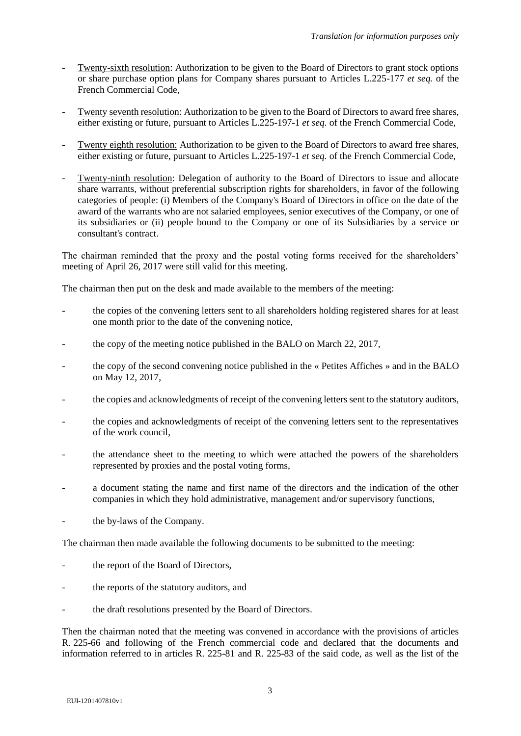- Twenty-sixth resolution: Authorization to be given to the Board of Directors to grant stock options or share purchase option plans for Company shares pursuant to Articles L.225-177 *et seq.* of the French Commercial Code,
- Twenty seventh resolution: Authorization to be given to the Board of Directors to award free shares, either existing or future, pursuant to Articles L.225-197-1 *et seq.* of the French Commercial Code,
- Twenty eighth resolution: Authorization to be given to the Board of Directors to award free shares, either existing or future, pursuant to Articles L.225-197-1 *et seq.* of the French Commercial Code,
- Twenty-ninth resolution: Delegation of authority to the Board of Directors to issue and allocate share warrants, without preferential subscription rights for shareholders, in favor of the following categories of people: (i) Members of the Company's Board of Directors in office on the date of the award of the warrants who are not salaried employees, senior executives of the Company, or one of its subsidiaries or (ii) people bound to the Company or one of its Subsidiaries by a service or consultant's contract.

The chairman reminded that the proxy and the postal voting forms received for the shareholders' meeting of April 26, 2017 were still valid for this meeting.

The chairman then put on the desk and made available to the members of the meeting:

- the copies of the convening letters sent to all shareholders holding registered shares for at least one month prior to the date of the convening notice,
- the copy of the meeting notice published in the BALO on March 22, 2017,
- the copy of the second convening notice published in the « Petites Affiches » and in the BALO on May 12, 2017,
- the copies and acknowledgments of receipt of the convening letters sent to the statutory auditors,
- the copies and acknowledgments of receipt of the convening letters sent to the representatives of the work council,
- the attendance sheet to the meeting to which were attached the powers of the shareholders represented by proxies and the postal voting forms,
- a document stating the name and first name of the directors and the indication of the other companies in which they hold administrative, management and/or supervisory functions,
- the by-laws of the Company.

The chairman then made available the following documents to be submitted to the meeting:

- the report of the Board of Directors,
- the reports of the statutory auditors, and
- the draft resolutions presented by the Board of Directors.

Then the chairman noted that the meeting was convened in accordance with the provisions of articles R. 225-66 and following of the French commercial code and declared that the documents and information referred to in articles R. 225-81 and R. 225-83 of the said code, as well as the list of the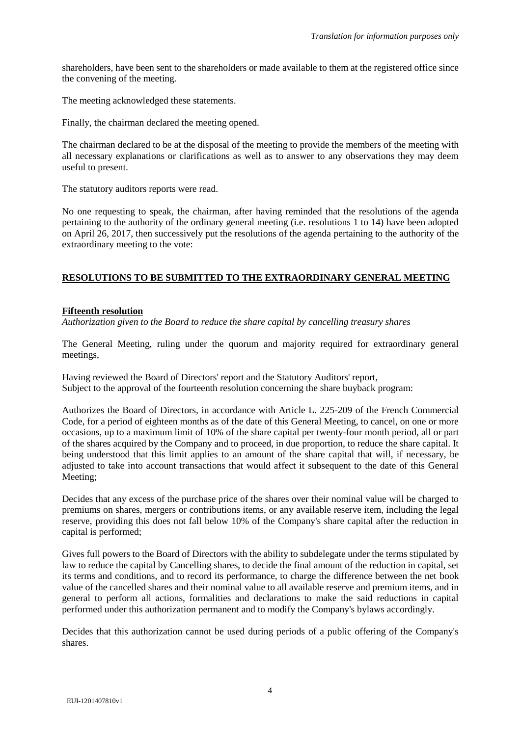shareholders, have been sent to the shareholders or made available to them at the registered office since the convening of the meeting.

The meeting acknowledged these statements.

Finally, the chairman declared the meeting opened.

The chairman declared to be at the disposal of the meeting to provide the members of the meeting with all necessary explanations or clarifications as well as to answer to any observations they may deem useful to present.

The statutory auditors reports were read.

No one requesting to speak, the chairman, after having reminded that the resolutions of the agenda pertaining to the authority of the ordinary general meeting (i.e. resolutions 1 to 14) have been adopted on April 26, 2017, then successively put the resolutions of the agenda pertaining to the authority of the extraordinary meeting to the vote:

## **RESOLUTIONS TO BE SUBMITTED TO THE EXTRAORDINARY GENERAL MEETING**

### **Fifteenth resolution**

*Authorization given to the Board to reduce the share capital by cancelling treasury shares*

The General Meeting, ruling under the quorum and majority required for extraordinary general meetings,

Having reviewed the Board of Directors' report and the Statutory Auditors' report, Subject to the approval of the fourteenth resolution concerning the share buyback program:

Authorizes the Board of Directors, in accordance with Article L. 225-209 of the French Commercial Code, for a period of eighteen months as of the date of this General Meeting, to cancel, on one or more occasions, up to a maximum limit of 10% of the share capital per twenty-four month period, all or part of the shares acquired by the Company and to proceed, in due proportion, to reduce the share capital. It being understood that this limit applies to an amount of the share capital that will, if necessary, be adjusted to take into account transactions that would affect it subsequent to the date of this General Meeting;

Decides that any excess of the purchase price of the shares over their nominal value will be charged to premiums on shares, mergers or contributions items, or any available reserve item, including the legal reserve, providing this does not fall below 10% of the Company's share capital after the reduction in capital is performed;

Gives full powers to the Board of Directors with the ability to subdelegate under the terms stipulated by law to reduce the capital by Cancelling shares, to decide the final amount of the reduction in capital, set its terms and conditions, and to record its performance, to charge the difference between the net book value of the cancelled shares and their nominal value to all available reserve and premium items, and in general to perform all actions, formalities and declarations to make the said reductions in capital performed under this authorization permanent and to modify the Company's bylaws accordingly.

Decides that this authorization cannot be used during periods of a public offering of the Company's shares.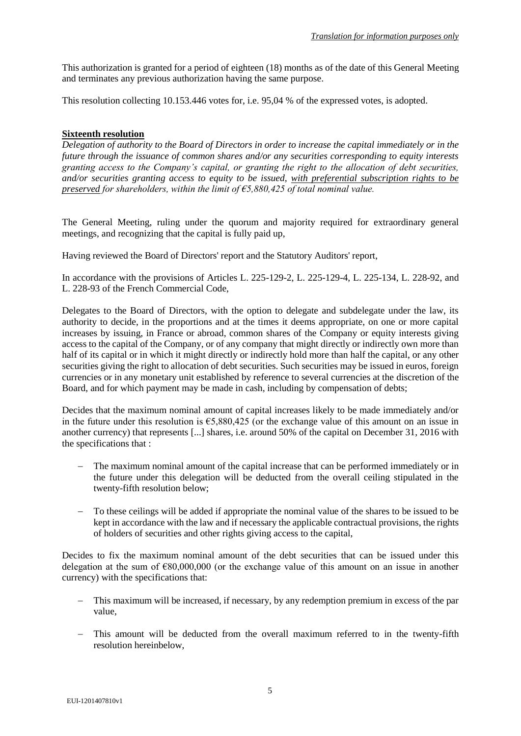This authorization is granted for a period of eighteen (18) months as of the date of this General Meeting and terminates any previous authorization having the same purpose.

This resolution collecting 10.153.446 votes for, i.e. 95,04 % of the expressed votes, is adopted.

# **Sixteenth resolution**

*Delegation of authority to the Board of Directors in order to increase the capital immediately or in the future through the issuance of common shares and/or any securities corresponding to equity interests granting access to the Company's capital, or granting the right to the allocation of debt securities, and/or securities granting access to equity to be issued, with preferential subscription rights to be preserved for shareholders, within the limit of €5,880,425 of total nominal value.*

The General Meeting, ruling under the quorum and majority required for extraordinary general meetings, and recognizing that the capital is fully paid up,

Having reviewed the Board of Directors' report and the Statutory Auditors' report,

In accordance with the provisions of Articles L. 225-129-2, L. 225-129-4, L. 225-134, L. 228-92, and L. 228-93 of the French Commercial Code,

Delegates to the Board of Directors, with the option to delegate and subdelegate under the law, its authority to decide, in the proportions and at the times it deems appropriate, on one or more capital increases by issuing, in France or abroad, common shares of the Company or equity interests giving access to the capital of the Company, or of any company that might directly or indirectly own more than half of its capital or in which it might directly or indirectly hold more than half the capital, or any other securities giving the right to allocation of debt securities. Such securities may be issued in euros, foreign currencies or in any monetary unit established by reference to several currencies at the discretion of the Board, and for which payment may be made in cash, including by compensation of debts;

Decides that the maximum nominal amount of capital increases likely to be made immediately and/or in the future under this resolution is €5,880,425 (or the exchange value of this amount on an issue in another currency) that represents [...] shares, i.e. around 50% of the capital on December 31, 2016 with the specifications that :

- The maximum nominal amount of the capital increase that can be performed immediately or in the future under this delegation will be deducted from the overall ceiling stipulated in the twenty-fifth resolution below;
- To these ceilings will be added if appropriate the nominal value of the shares to be issued to be kept in accordance with the law and if necessary the applicable contractual provisions, the rights of holders of securities and other rights giving access to the capital,

Decides to fix the maximum nominal amount of the debt securities that can be issued under this delegation at the sum of  $\epsilon$ 80,000,000 (or the exchange value of this amount on an issue in another currency) with the specifications that:

- This maximum will be increased, if necessary, by any redemption premium in excess of the par value,
- This amount will be deducted from the overall maximum referred to in the twenty-fifth resolution hereinbelow,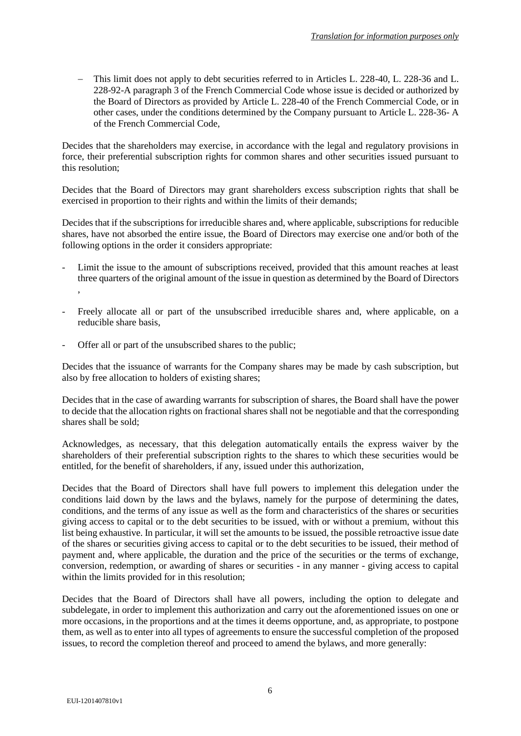This limit does not apply to debt securities referred to in Articles L. 228-40, L. 228-36 and L. 228-92-A paragraph 3 of the French Commercial Code whose issue is decided or authorized by the Board of Directors as provided by Article L. 228-40 of the French Commercial Code, or in other cases, under the conditions determined by the Company pursuant to Article L. 228-36- A of the French Commercial Code,

Decides that the shareholders may exercise, in accordance with the legal and regulatory provisions in force, their preferential subscription rights for common shares and other securities issued pursuant to this resolution;

Decides that the Board of Directors may grant shareholders excess subscription rights that shall be exercised in proportion to their rights and within the limits of their demands;

Decides that if the subscriptions for irreducible shares and, where applicable, subscriptions for reducible shares, have not absorbed the entire issue, the Board of Directors may exercise one and/or both of the following options in the order it considers appropriate:

- Limit the issue to the amount of subscriptions received, provided that this amount reaches at least three quarters of the original amount of the issue in question as determined by the Board of Directors ,
- Freely allocate all or part of the unsubscribed irreducible shares and, where applicable, on a reducible share basis,
- Offer all or part of the unsubscribed shares to the public;

Decides that the issuance of warrants for the Company shares may be made by cash subscription, but also by free allocation to holders of existing shares;

Decides that in the case of awarding warrants for subscription of shares, the Board shall have the power to decide that the allocation rights on fractional shares shall not be negotiable and that the corresponding shares shall be sold;

Acknowledges, as necessary, that this delegation automatically entails the express waiver by the shareholders of their preferential subscription rights to the shares to which these securities would be entitled, for the benefit of shareholders, if any, issued under this authorization,

Decides that the Board of Directors shall have full powers to implement this delegation under the conditions laid down by the laws and the bylaws, namely for the purpose of determining the dates, conditions, and the terms of any issue as well as the form and characteristics of the shares or securities giving access to capital or to the debt securities to be issued, with or without a premium, without this list being exhaustive. In particular, it will set the amounts to be issued, the possible retroactive issue date of the shares or securities giving access to capital or to the debt securities to be issued, their method of payment and, where applicable, the duration and the price of the securities or the terms of exchange, conversion, redemption, or awarding of shares or securities - in any manner - giving access to capital within the limits provided for in this resolution;

Decides that the Board of Directors shall have all powers, including the option to delegate and subdelegate, in order to implement this authorization and carry out the aforementioned issues on one or more occasions, in the proportions and at the times it deems opportune, and, as appropriate, to postpone them, as well as to enter into all types of agreements to ensure the successful completion of the proposed issues, to record the completion thereof and proceed to amend the bylaws, and more generally: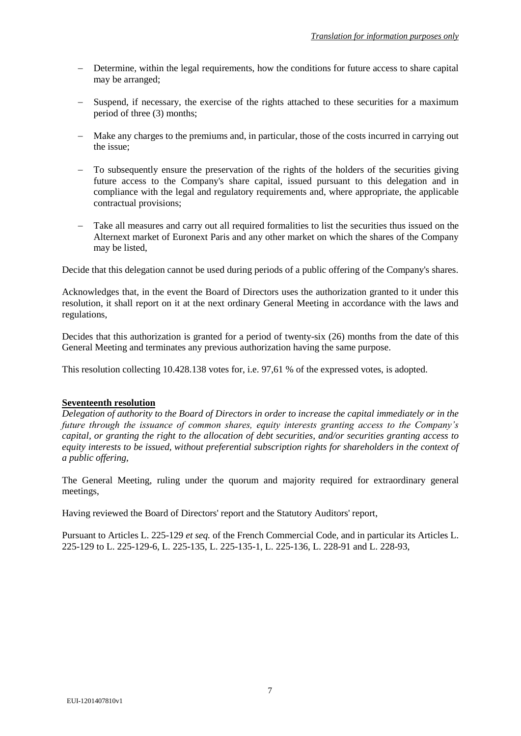- Determine, within the legal requirements, how the conditions for future access to share capital may be arranged;
- Suspend, if necessary, the exercise of the rights attached to these securities for a maximum period of three (3) months;
- Make any charges to the premiums and, in particular, those of the costs incurred in carrying out the issue;
- To subsequently ensure the preservation of the rights of the holders of the securities giving future access to the Company's share capital, issued pursuant to this delegation and in compliance with the legal and regulatory requirements and, where appropriate, the applicable contractual provisions;
- Take all measures and carry out all required formalities to list the securities thus issued on the Alternext market of Euronext Paris and any other market on which the shares of the Company may be listed,

Decide that this delegation cannot be used during periods of a public offering of the Company's shares.

Acknowledges that, in the event the Board of Directors uses the authorization granted to it under this resolution, it shall report on it at the next ordinary General Meeting in accordance with the laws and regulations,

Decides that this authorization is granted for a period of twenty-six (26) months from the date of this General Meeting and terminates any previous authorization having the same purpose.

This resolution collecting 10.428.138 votes for, i.e. 97,61 % of the expressed votes, is adopted.

# **Seventeenth resolution**

*Delegation of authority to the Board of Directors in order to increase the capital immediately or in the future through the issuance of common shares, equity interests granting access to the Company's capital, or granting the right to the allocation of debt securities, and/or securities granting access to equity interests to be issued, without preferential subscription rights for shareholders in the context of a public offering,*

The General Meeting, ruling under the quorum and majority required for extraordinary general meetings,

Having reviewed the Board of Directors' report and the Statutory Auditors' report,

Pursuant to Articles L. 225-129 *et seq.* of the French Commercial Code, and in particular its Articles L. 225-129 to L. 225-129-6, L. 225-135, L. 225-135-1, L. 225-136, L. 228-91 and L. 228-93,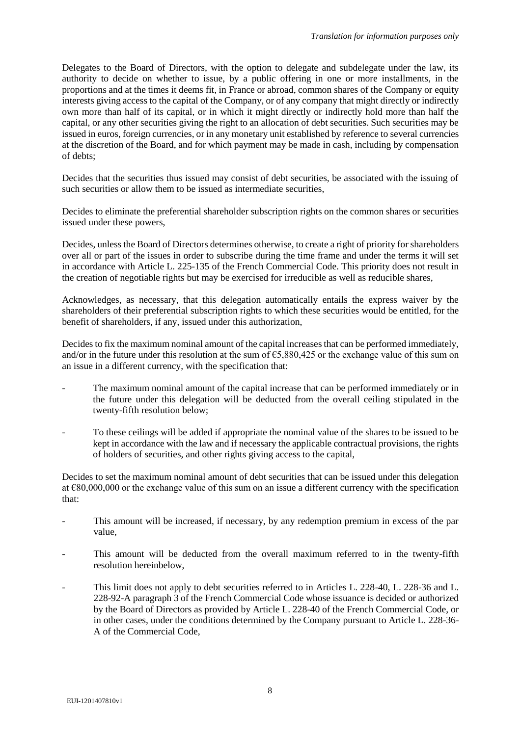Delegates to the Board of Directors, with the option to delegate and subdelegate under the law, its authority to decide on whether to issue, by a public offering in one or more installments, in the proportions and at the times it deems fit, in France or abroad, common shares of the Company or equity interests giving access to the capital of the Company, or of any company that might directly or indirectly own more than half of its capital, or in which it might directly or indirectly hold more than half the capital, or any other securities giving the right to an allocation of debt securities. Such securities may be issued in euros, foreign currencies, or in any monetary unit established by reference to several currencies at the discretion of the Board, and for which payment may be made in cash, including by compensation of debts;

Decides that the securities thus issued may consist of debt securities, be associated with the issuing of such securities or allow them to be issued as intermediate securities,

Decides to eliminate the preferential shareholder subscription rights on the common shares or securities issued under these powers,

Decides, unless the Board of Directors determines otherwise, to create a right of priority for shareholders over all or part of the issues in order to subscribe during the time frame and under the terms it will set in accordance with Article L. 225-135 of the French Commercial Code. This priority does not result in the creation of negotiable rights but may be exercised for irreducible as well as reducible shares,

Acknowledges, as necessary, that this delegation automatically entails the express waiver by the shareholders of their preferential subscription rights to which these securities would be entitled, for the benefit of shareholders, if any, issued under this authorization,

Decides to fix the maximum nominal amount of the capital increases that can be performed immediately, and/or in the future under this resolution at the sum of  $\epsilon$ 5,880,425 or the exchange value of this sum on an issue in a different currency, with the specification that:

- The maximum nominal amount of the capital increase that can be performed immediately or in the future under this delegation will be deducted from the overall ceiling stipulated in the twenty-fifth resolution below;
- To these ceilings will be added if appropriate the nominal value of the shares to be issued to be kept in accordance with the law and if necessary the applicable contractual provisions, the rights of holders of securities, and other rights giving access to the capital,

Decides to set the maximum nominal amount of debt securities that can be issued under this delegation at €80,000,000 or the exchange value of this sum on an issue a different currency with the specification that:

- This amount will be increased, if necessary, by any redemption premium in excess of the par value,
- This amount will be deducted from the overall maximum referred to in the twenty-fifth resolution hereinbelow,
- This limit does not apply to debt securities referred to in Articles L. 228-40, L. 228-36 and L. 228-92-A paragraph 3 of the French Commercial Code whose issuance is decided or authorized by the Board of Directors as provided by Article L. 228-40 of the French Commercial Code, or in other cases, under the conditions determined by the Company pursuant to Article L. 228-36- A of the Commercial Code,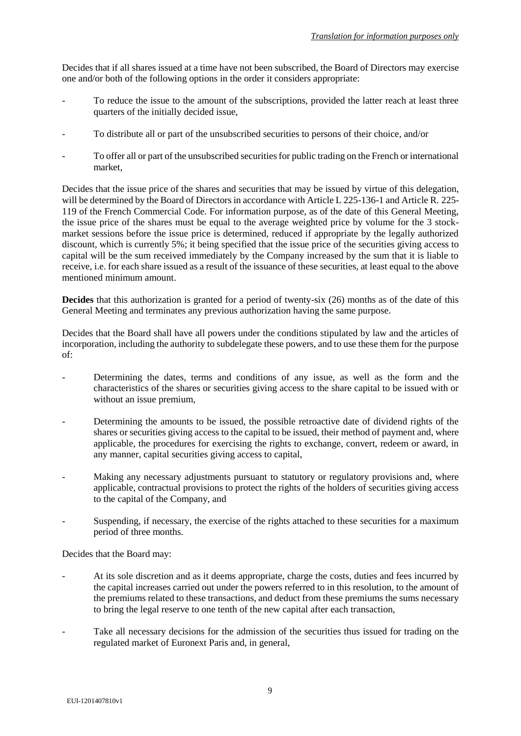Decides that if all shares issued at a time have not been subscribed, the Board of Directors may exercise one and/or both of the following options in the order it considers appropriate:

- To reduce the issue to the amount of the subscriptions, provided the latter reach at least three quarters of the initially decided issue,
- To distribute all or part of the unsubscribed securities to persons of their choice, and/or
- To offer all or part of the unsubscribed securities for public trading on the French or international market,

Decides that the issue price of the shares and securities that may be issued by virtue of this delegation, will be determined by the Board of Directors in accordance with Article L 225-136-1 and Article R. 225-119 of the French Commercial Code. For information purpose, as of the date of this General Meeting, the issue price of the shares must be equal to the average weighted price by volume for the 3 stockmarket sessions before the issue price is determined, reduced if appropriate by the legally authorized discount, which is currently 5%; it being specified that the issue price of the securities giving access to capital will be the sum received immediately by the Company increased by the sum that it is liable to receive, i.e. for each share issued as a result of the issuance of these securities, at least equal to the above mentioned minimum amount.

**Decides** that this authorization is granted for a period of twenty-six (26) months as of the date of this General Meeting and terminates any previous authorization having the same purpose.

Decides that the Board shall have all powers under the conditions stipulated by law and the articles of incorporation, including the authority to subdelegate these powers, and to use these them for the purpose of:

- Determining the dates, terms and conditions of any issue, as well as the form and the characteristics of the shares or securities giving access to the share capital to be issued with or without an issue premium,
- Determining the amounts to be issued, the possible retroactive date of dividend rights of the shares or securities giving access to the capital to be issued, their method of payment and, where applicable, the procedures for exercising the rights to exchange, convert, redeem or award, in any manner, capital securities giving access to capital,
- Making any necessary adjustments pursuant to statutory or regulatory provisions and, where applicable, contractual provisions to protect the rights of the holders of securities giving access to the capital of the Company, and
- Suspending, if necessary, the exercise of the rights attached to these securities for a maximum period of three months.

Decides that the Board may:

- At its sole discretion and as it deems appropriate, charge the costs, duties and fees incurred by the capital increases carried out under the powers referred to in this resolution, to the amount of the premiums related to these transactions, and deduct from these premiums the sums necessary to bring the legal reserve to one tenth of the new capital after each transaction,
- Take all necessary decisions for the admission of the securities thus issued for trading on the regulated market of Euronext Paris and, in general,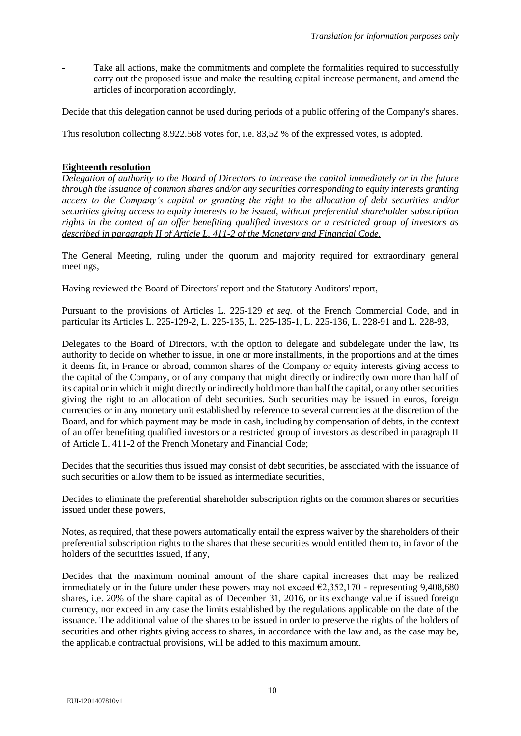Take all actions, make the commitments and complete the formalities required to successfully carry out the proposed issue and make the resulting capital increase permanent, and amend the articles of incorporation accordingly,

Decide that this delegation cannot be used during periods of a public offering of the Company's shares.

This resolution collecting 8.922.568 votes for, i.e. 83,52 % of the expressed votes, is adopted.

## **Eighteenth resolution**

*Delegation of authority to the Board of Directors to increase the capital immediately or in the future through the issuance of common shares and/or any securities corresponding to equity interests granting access to the Company's capital or granting the right to the allocation of debt securities and/or securities giving access to equity interests to be issued, without preferential shareholder subscription rights in the context of an offer benefiting qualified investors or a restricted group of investors as described in paragraph II of Article L. 411-2 of the Monetary and Financial Code.*

The General Meeting, ruling under the quorum and majority required for extraordinary general meetings,

Having reviewed the Board of Directors' report and the Statutory Auditors' report,

Pursuant to the provisions of Articles L. 225-129 *et seq.* of the French Commercial Code, and in particular its Articles L. 225-129-2, L. 225-135, L. 225-135-1, L. 225-136, L. 228-91 and L. 228-93,

Delegates to the Board of Directors, with the option to delegate and subdelegate under the law, its authority to decide on whether to issue, in one or more installments, in the proportions and at the times it deems fit, in France or abroad, common shares of the Company or equity interests giving access to the capital of the Company, or of any company that might directly or indirectly own more than half of its capital or in which it might directly or indirectly hold more than half the capital, or any other securities giving the right to an allocation of debt securities. Such securities may be issued in euros, foreign currencies or in any monetary unit established by reference to several currencies at the discretion of the Board, and for which payment may be made in cash, including by compensation of debts, in the context of an offer benefiting qualified investors or a restricted group of investors as described in paragraph II of Article L. 411-2 of the French Monetary and Financial Code;

Decides that the securities thus issued may consist of debt securities, be associated with the issuance of such securities or allow them to be issued as intermediate securities,

Decides to eliminate the preferential shareholder subscription rights on the common shares or securities issued under these powers,

Notes, as required, that these powers automatically entail the express waiver by the shareholders of their preferential subscription rights to the shares that these securities would entitled them to, in favor of the holders of the securities issued, if any,

Decides that the maximum nominal amount of the share capital increases that may be realized immediately or in the future under these powers may not exceed  $\epsilon$ 2,352,170 - representing 9,408,680 shares, i.e. 20% of the share capital as of December 31, 2016, or its exchange value if issued foreign currency, nor exceed in any case the limits established by the regulations applicable on the date of the issuance. The additional value of the shares to be issued in order to preserve the rights of the holders of securities and other rights giving access to shares, in accordance with the law and, as the case may be, the applicable contractual provisions, will be added to this maximum amount.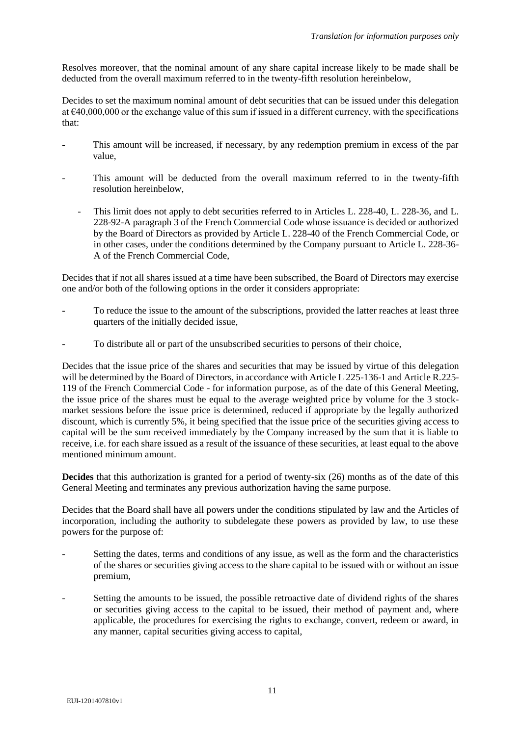Resolves moreover, that the nominal amount of any share capital increase likely to be made shall be deducted from the overall maximum referred to in the twenty-fifth resolution hereinbelow,

Decides to set the maximum nominal amount of debt securities that can be issued under this delegation at €40,000,000 or the exchange value of this sum if issued in a different currency, with the specifications that:

- This amount will be increased, if necessary, by any redemption premium in excess of the par value,
- This amount will be deducted from the overall maximum referred to in the twenty-fifth resolution hereinbelow,
	- This limit does not apply to debt securities referred to in Articles L. 228-40, L. 228-36, and L. 228-92-A paragraph 3 of the French Commercial Code whose issuance is decided or authorized by the Board of Directors as provided by Article L. 228-40 of the French Commercial Code, or in other cases, under the conditions determined by the Company pursuant to Article L. 228-36- A of the French Commercial Code,

Decides that if not all shares issued at a time have been subscribed, the Board of Directors may exercise one and/or both of the following options in the order it considers appropriate:

- To reduce the issue to the amount of the subscriptions, provided the latter reaches at least three quarters of the initially decided issue,
- To distribute all or part of the unsubscribed securities to persons of their choice,

Decides that the issue price of the shares and securities that may be issued by virtue of this delegation will be determined by the Board of Directors, in accordance with Article L 225-136-1 and Article R.225-119 of the French Commercial Code - for information purpose, as of the date of this General Meeting, the issue price of the shares must be equal to the average weighted price by volume for the 3 stockmarket sessions before the issue price is determined, reduced if appropriate by the legally authorized discount, which is currently 5%, it being specified that the issue price of the securities giving access to capital will be the sum received immediately by the Company increased by the sum that it is liable to receive, i.e. for each share issued as a result of the issuance of these securities, at least equal to the above mentioned minimum amount.

**Decides** that this authorization is granted for a period of twenty-six (26) months as of the date of this General Meeting and terminates any previous authorization having the same purpose.

Decides that the Board shall have all powers under the conditions stipulated by law and the Articles of incorporation, including the authority to subdelegate these powers as provided by law, to use these powers for the purpose of:

- Setting the dates, terms and conditions of any issue, as well as the form and the characteristics of the shares or securities giving access to the share capital to be issued with or without an issue premium,
- Setting the amounts to be issued, the possible retroactive date of dividend rights of the shares or securities giving access to the capital to be issued, their method of payment and, where applicable, the procedures for exercising the rights to exchange, convert, redeem or award, in any manner, capital securities giving access to capital,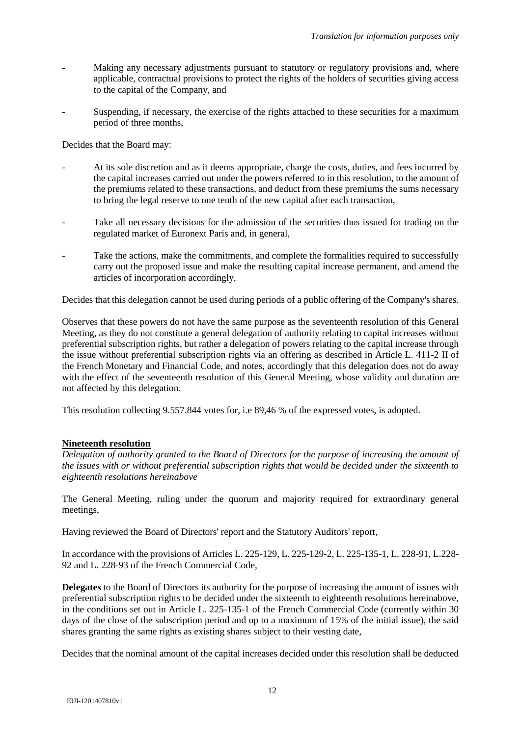- Making any necessary adjustments pursuant to statutory or regulatory provisions and, where applicable, contractual provisions to protect the rights of the holders of securities giving access to the capital of the Company, and
- Suspending, if necessary, the exercise of the rights attached to these securities for a maximum period of three months,

Decides that the Board may:

- At its sole discretion and as it deems appropriate, charge the costs, duties, and fees incurred by the capital increases carried out under the powers referred to in this resolution, to the amount of the premiums related to these transactions, and deduct from these premiums the sums necessary to bring the legal reserve to one tenth of the new capital after each transaction,
- Take all necessary decisions for the admission of the securities thus issued for trading on the regulated market of Euronext Paris and, in general,
- Take the actions, make the commitments, and complete the formalities required to successfully carry out the proposed issue and make the resulting capital increase permanent, and amend the articles of incorporation accordingly,

Decides that this delegation cannot be used during periods of a public offering of the Company's shares.

Observes that these powers do not have the same purpose as the seventeenth resolution of this General Meeting, as they do not constitute a general delegation of authority relating to capital increases without preferential subscription rights, but rather a delegation of powers relating to the capital increase through the issue without preferential subscription rights via an offering as described in Article L. 411-2 II of the French Monetary and Financial Code, and notes, accordingly that this delegation does not do away with the effect of the seventeenth resolution of this General Meeting, whose validity and duration are not affected by this delegation.

This resolution collecting 9.557.844 votes for, i.e 89,46 % of the expressed votes, is adopted.

### **Nineteenth resolution**

*Delegation of authority granted to the Board of Directors for the purpose of increasing the amount of the issues with or without preferential subscription rights that would be decided under the sixteenth to eighteenth resolutions hereinabove*

The General Meeting, ruling under the quorum and majority required for extraordinary general meetings,

Having reviewed the Board of Directors' report and the Statutory Auditors' report,

In accordance with the provisions of Articles L. 225-129, L. 225-129-2, L. 225-135-1, L. 228-91, L.228- 92 and L. 228-93 of the French Commercial Code,

**Delegates** to the Board of Directors its authority for the purpose of increasing the amount of issues with preferential subscription rights to be decided under the sixteenth to eighteenth resolutions hereinabove, in the conditions set out in Article L. 225-135-1 of the French Commercial Code (currently within 30 days of the close of the subscription period and up to a maximum of 15% of the initial issue), the said shares granting the same rights as existing shares subject to their vesting date,

Decides that the nominal amount of the capital increases decided under this resolution shall be deducted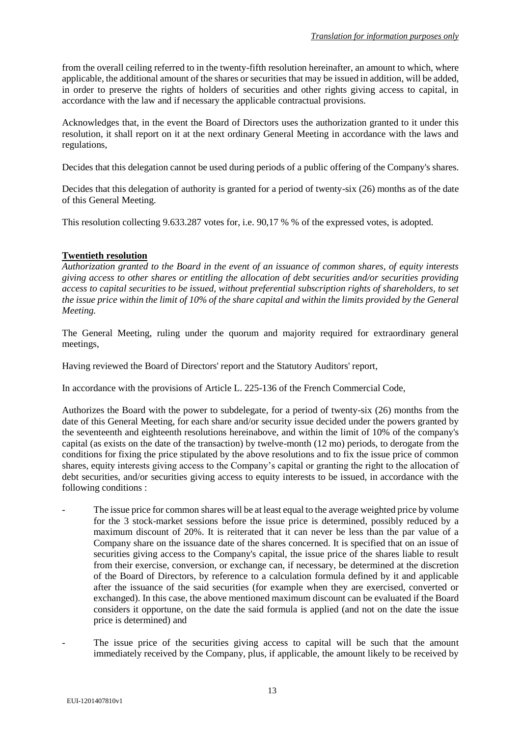from the overall ceiling referred to in the twenty-fifth resolution hereinafter, an amount to which, where applicable, the additional amount of the shares or securities that may be issued in addition, will be added, in order to preserve the rights of holders of securities and other rights giving access to capital, in accordance with the law and if necessary the applicable contractual provisions.

Acknowledges that, in the event the Board of Directors uses the authorization granted to it under this resolution, it shall report on it at the next ordinary General Meeting in accordance with the laws and regulations,

Decides that this delegation cannot be used during periods of a public offering of the Company's shares.

Decides that this delegation of authority is granted for a period of twenty-six (26) months as of the date of this General Meeting.

This resolution collecting 9.633.287 votes for, i.e. 90,17 % % of the expressed votes, is adopted.

# **Twentieth resolution**

*Authorization granted to the Board in the event of an issuance of common shares, of equity interests giving access to other shares or entitling the allocation of debt securities and/or securities providing access to capital securities to be issued, without preferential subscription rights of shareholders, to set the issue price within the limit of 10% of the share capital and within the limits provided by the General Meeting.*

The General Meeting, ruling under the quorum and majority required for extraordinary general meetings,

Having reviewed the Board of Directors' report and the Statutory Auditors' report,

In accordance with the provisions of Article L. 225-136 of the French Commercial Code,

Authorizes the Board with the power to subdelegate, for a period of twenty-six (26) months from the date of this General Meeting, for each share and/or security issue decided under the powers granted by the seventeenth and eighteenth resolutions hereinabove, and within the limit of 10% of the company's capital (as exists on the date of the transaction) by twelve-month (12 mo) periods, to derogate from the conditions for fixing the price stipulated by the above resolutions and to fix the issue price of common shares, equity interests giving access to the Company's capital or granting the right to the allocation of debt securities, and/or securities giving access to equity interests to be issued, in accordance with the following conditions :

- The issue price for common shares will be at least equal to the average weighted price by volume for the 3 stock-market sessions before the issue price is determined, possibly reduced by a maximum discount of 20%. It is reiterated that it can never be less than the par value of a Company share on the issuance date of the shares concerned. It is specified that on an issue of securities giving access to the Company's capital, the issue price of the shares liable to result from their exercise, conversion, or exchange can, if necessary, be determined at the discretion of the Board of Directors, by reference to a calculation formula defined by it and applicable after the issuance of the said securities (for example when they are exercised, converted or exchanged). In this case, the above mentioned maximum discount can be evaluated if the Board considers it opportune, on the date the said formula is applied (and not on the date the issue price is determined) and
- The issue price of the securities giving access to capital will be such that the amount immediately received by the Company, plus, if applicable, the amount likely to be received by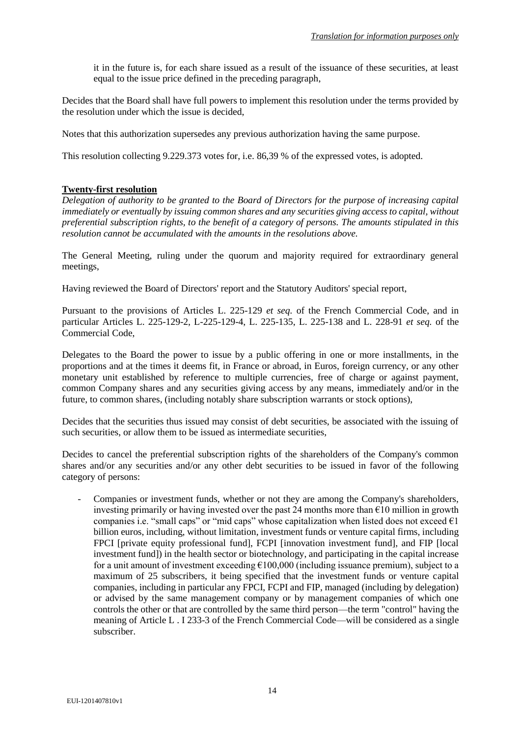it in the future is, for each share issued as a result of the issuance of these securities, at least equal to the issue price defined in the preceding paragraph,

Decides that the Board shall have full powers to implement this resolution under the terms provided by the resolution under which the issue is decided,

Notes that this authorization supersedes any previous authorization having the same purpose.

This resolution collecting 9.229.373 votes for, i.e. 86,39 % of the expressed votes, is adopted.

### **Twenty-first resolution**

*Delegation of authority to be granted to the Board of Directors for the purpose of increasing capital immediately or eventually by issuing common shares and any securities giving access to capital, without preferential subscription rights, to the benefit of a category of persons. The amounts stipulated in this resolution cannot be accumulated with the amounts in the resolutions above.*

The General Meeting, ruling under the quorum and majority required for extraordinary general meetings,

Having reviewed the Board of Directors' report and the Statutory Auditors' special report,

Pursuant to the provisions of Articles L. 225-129 *et seq.* of the French Commercial Code, and in particular Articles L. 225-129-2, L-225-129-4, L. 225-135, L. 225-138 and L. 228-91 *et seq.* of the Commercial Code,

Delegates to the Board the power to issue by a public offering in one or more installments, in the proportions and at the times it deems fit, in France or abroad, in Euros, foreign currency, or any other monetary unit established by reference to multiple currencies, free of charge or against payment, common Company shares and any securities giving access by any means, immediately and/or in the future, to common shares, (including notably share subscription warrants or stock options),

Decides that the securities thus issued may consist of debt securities, be associated with the issuing of such securities, or allow them to be issued as intermediate securities,

Decides to cancel the preferential subscription rights of the shareholders of the Company's common shares and/or any securities and/or any other debt securities to be issued in favor of the following category of persons:

- Companies or investment funds, whether or not they are among the Company's shareholders, investing primarily or having invested over the past 24 months more than  $\epsilon$ 10 million in growth companies i.e. "small caps" or "mid caps" whose capitalization when listed does not exceed  $\epsilon_1$ billion euros, including, without limitation, investment funds or venture capital firms, including FPCI [private equity professional fund], FCPI [innovation investment fund], and FIP [local investment fund]) in the health sector or biotechnology, and participating in the capital increase for a unit amount of investment exceeding  $\epsilon$ 100,000 (including issuance premium), subject to a maximum of 25 subscribers, it being specified that the investment funds or venture capital companies, including in particular any FPCI, FCPI and FIP, managed (including by delegation) or advised by the same management company or by management companies of which one controls the other or that are controlled by the same third person—the term "control" having the meaning of Article L . I 233-3 of the French Commercial Code—will be considered as a single subscriber.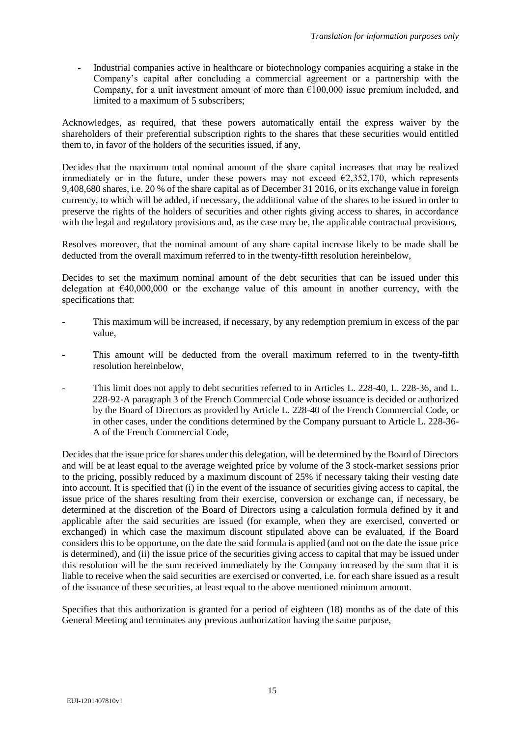- Industrial companies active in healthcare or biotechnology companies acquiring a stake in the Company's capital after concluding a commercial agreement or a partnership with the Company, for a unit investment amount of more than  $£100,000$  issue premium included, and limited to a maximum of 5 subscribers;

Acknowledges, as required, that these powers automatically entail the express waiver by the shareholders of their preferential subscription rights to the shares that these securities would entitled them to, in favor of the holders of the securities issued, if any,

Decides that the maximum total nominal amount of the share capital increases that may be realized immediately or in the future, under these powers may not exceed  $\epsilon$ 2,352,170, which represents 9,408,680 shares, i.e. 20 % of the share capital as of December 31 2016, or its exchange value in foreign currency, to which will be added, if necessary, the additional value of the shares to be issued in order to preserve the rights of the holders of securities and other rights giving access to shares, in accordance with the legal and regulatory provisions and, as the case may be, the applicable contractual provisions,

Resolves moreover, that the nominal amount of any share capital increase likely to be made shall be deducted from the overall maximum referred to in the twenty-fifth resolution hereinbelow,

Decides to set the maximum nominal amount of the debt securities that can be issued under this delegation at  $\epsilon$ 40,000,000 or the exchange value of this amount in another currency, with the specifications that:

- This maximum will be increased, if necessary, by any redemption premium in excess of the par value,
- This amount will be deducted from the overall maximum referred to in the twenty-fifth resolution hereinbelow,
- This limit does not apply to debt securities referred to in Articles L. 228-40, L. 228-36, and L. 228-92-A paragraph 3 of the French Commercial Code whose issuance is decided or authorized by the Board of Directors as provided by Article L. 228-40 of the French Commercial Code, or in other cases, under the conditions determined by the Company pursuant to Article L. 228-36- A of the French Commercial Code,

Decides that the issue price for shares under this delegation, will be determined by the Board of Directors and will be at least equal to the average weighted price by volume of the 3 stock-market sessions prior to the pricing, possibly reduced by a maximum discount of 25% if necessary taking their vesting date into account. It is specified that (i) in the event of the issuance of securities giving access to capital, the issue price of the shares resulting from their exercise, conversion or exchange can, if necessary, be determined at the discretion of the Board of Directors using a calculation formula defined by it and applicable after the said securities are issued (for example, when they are exercised, converted or exchanged) in which case the maximum discount stipulated above can be evaluated, if the Board considers this to be opportune, on the date the said formula is applied (and not on the date the issue price is determined), and (ii) the issue price of the securities giving access to capital that may be issued under this resolution will be the sum received immediately by the Company increased by the sum that it is liable to receive when the said securities are exercised or converted, i.e. for each share issued as a result of the issuance of these securities, at least equal to the above mentioned minimum amount.

Specifies that this authorization is granted for a period of eighteen (18) months as of the date of this General Meeting and terminates any previous authorization having the same purpose,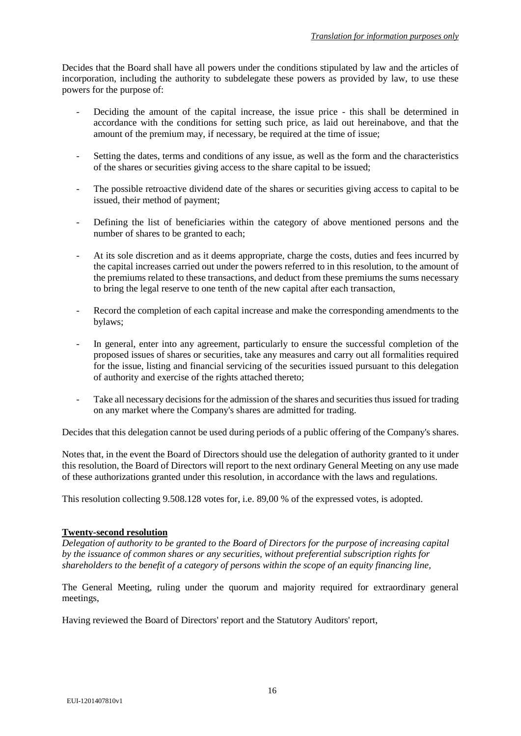Decides that the Board shall have all powers under the conditions stipulated by law and the articles of incorporation, including the authority to subdelegate these powers as provided by law, to use these powers for the purpose of:

- Deciding the amount of the capital increase, the issue price this shall be determined in accordance with the conditions for setting such price, as laid out hereinabove, and that the amount of the premium may, if necessary, be required at the time of issue;
- Setting the dates, terms and conditions of any issue, as well as the form and the characteristics of the shares or securities giving access to the share capital to be issued;
- The possible retroactive dividend date of the shares or securities giving access to capital to be issued, their method of payment;
- Defining the list of beneficiaries within the category of above mentioned persons and the number of shares to be granted to each;
- At its sole discretion and as it deems appropriate, charge the costs, duties and fees incurred by the capital increases carried out under the powers referred to in this resolution, to the amount of the premiums related to these transactions, and deduct from these premiums the sums necessary to bring the legal reserve to one tenth of the new capital after each transaction,
- Record the completion of each capital increase and make the corresponding amendments to the bylaws;
- In general, enter into any agreement, particularly to ensure the successful completion of the proposed issues of shares or securities, take any measures and carry out all formalities required for the issue, listing and financial servicing of the securities issued pursuant to this delegation of authority and exercise of the rights attached thereto;
- Take all necessary decisions for the admission of the shares and securities thus issued for trading on any market where the Company's shares are admitted for trading.

Decides that this delegation cannot be used during periods of a public offering of the Company's shares.

Notes that, in the event the Board of Directors should use the delegation of authority granted to it under this resolution, the Board of Directors will report to the next ordinary General Meeting on any use made of these authorizations granted under this resolution, in accordance with the laws and regulations.

This resolution collecting 9.508.128 votes for, i.e. 89,00 % of the expressed votes, is adopted.

### **Twenty-second resolution**

*Delegation of authority to be granted to the Board of Directors for the purpose of increasing capital by the issuance of common shares or any securities, without preferential subscription rights for shareholders to the benefit of a category of persons within the scope of an equity financing line,*

The General Meeting, ruling under the quorum and majority required for extraordinary general meetings,

Having reviewed the Board of Directors' report and the Statutory Auditors' report,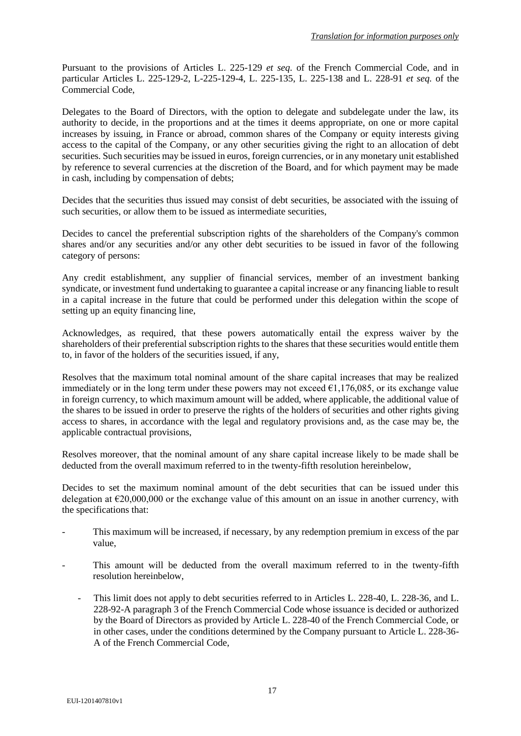Pursuant to the provisions of Articles L. 225-129 *et seq.* of the French Commercial Code, and in particular Articles L. 225-129-2, L-225-129-4, L. 225-135, L. 225-138 and L. 228-91 *et seq.* of the Commercial Code,

Delegates to the Board of Directors, with the option to delegate and subdelegate under the law, its authority to decide, in the proportions and at the times it deems appropriate, on one or more capital increases by issuing, in France or abroad, common shares of the Company or equity interests giving access to the capital of the Company, or any other securities giving the right to an allocation of debt securities. Such securities may be issued in euros, foreign currencies, or in any monetary unit established by reference to several currencies at the discretion of the Board, and for which payment may be made in cash, including by compensation of debts;

Decides that the securities thus issued may consist of debt securities, be associated with the issuing of such securities, or allow them to be issued as intermediate securities,

Decides to cancel the preferential subscription rights of the shareholders of the Company's common shares and/or any securities and/or any other debt securities to be issued in favor of the following category of persons:

Any credit establishment, any supplier of financial services, member of an investment banking syndicate, or investment fund undertaking to guarantee a capital increase or any financing liable to result in a capital increase in the future that could be performed under this delegation within the scope of setting up an equity financing line,

Acknowledges, as required, that these powers automatically entail the express waiver by the shareholders of their preferential subscription rights to the shares that these securities would entitle them to, in favor of the holders of the securities issued, if any,

Resolves that the maximum total nominal amount of the share capital increases that may be realized immediately or in the long term under these powers may not exceed  $\epsilon$ 1.176,085, or its exchange value in foreign currency, to which maximum amount will be added, where applicable, the additional value of the shares to be issued in order to preserve the rights of the holders of securities and other rights giving access to shares, in accordance with the legal and regulatory provisions and, as the case may be, the applicable contractual provisions,

Resolves moreover, that the nominal amount of any share capital increase likely to be made shall be deducted from the overall maximum referred to in the twenty-fifth resolution hereinbelow,

Decides to set the maximum nominal amount of the debt securities that can be issued under this delegation at  $\epsilon$ 20,000,000 or the exchange value of this amount on an issue in another currency, with the specifications that:

- This maximum will be increased, if necessary, by any redemption premium in excess of the par value,
- This amount will be deducted from the overall maximum referred to in the twenty-fifth resolution hereinbelow,
	- This limit does not apply to debt securities referred to in Articles L. 228-40, L. 228-36, and L. 228-92-A paragraph 3 of the French Commercial Code whose issuance is decided or authorized by the Board of Directors as provided by Article L. 228-40 of the French Commercial Code, or in other cases, under the conditions determined by the Company pursuant to Article L. 228-36- A of the French Commercial Code,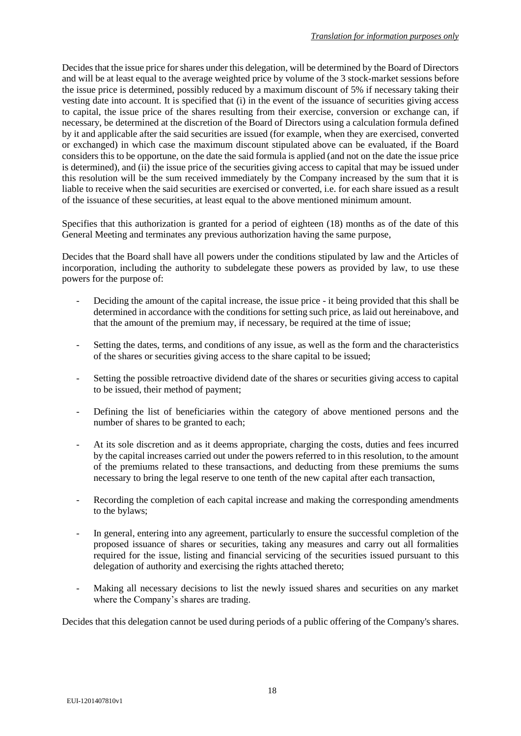Decides that the issue price for shares under this delegation, will be determined by the Board of Directors and will be at least equal to the average weighted price by volume of the 3 stock-market sessions before the issue price is determined, possibly reduced by a maximum discount of 5% if necessary taking their vesting date into account. It is specified that (i) in the event of the issuance of securities giving access to capital, the issue price of the shares resulting from their exercise, conversion or exchange can, if necessary, be determined at the discretion of the Board of Directors using a calculation formula defined by it and applicable after the said securities are issued (for example, when they are exercised, converted or exchanged) in which case the maximum discount stipulated above can be evaluated, if the Board considers this to be opportune, on the date the said formula is applied (and not on the date the issue price is determined), and (ii) the issue price of the securities giving access to capital that may be issued under this resolution will be the sum received immediately by the Company increased by the sum that it is liable to receive when the said securities are exercised or converted, i.e. for each share issued as a result of the issuance of these securities, at least equal to the above mentioned minimum amount.

Specifies that this authorization is granted for a period of eighteen (18) months as of the date of this General Meeting and terminates any previous authorization having the same purpose,

Decides that the Board shall have all powers under the conditions stipulated by law and the Articles of incorporation, including the authority to subdelegate these powers as provided by law, to use these powers for the purpose of:

- Deciding the amount of the capital increase, the issue price it being provided that this shall be determined in accordance with the conditions for setting such price, as laid out hereinabove, and that the amount of the premium may, if necessary, be required at the time of issue;
- Setting the dates, terms, and conditions of any issue, as well as the form and the characteristics of the shares or securities giving access to the share capital to be issued;
- Setting the possible retroactive dividend date of the shares or securities giving access to capital to be issued, their method of payment;
- Defining the list of beneficiaries within the category of above mentioned persons and the number of shares to be granted to each;
- At its sole discretion and as it deems appropriate, charging the costs, duties and fees incurred by the capital increases carried out under the powers referred to in this resolution, to the amount of the premiums related to these transactions, and deducting from these premiums the sums necessary to bring the legal reserve to one tenth of the new capital after each transaction,
- Recording the completion of each capital increase and making the corresponding amendments to the bylaws;
- In general, entering into any agreement, particularly to ensure the successful completion of the proposed issuance of shares or securities, taking any measures and carry out all formalities required for the issue, listing and financial servicing of the securities issued pursuant to this delegation of authority and exercising the rights attached thereto;
- Making all necessary decisions to list the newly issued shares and securities on any market where the Company's shares are trading.

Decides that this delegation cannot be used during periods of a public offering of the Company's shares.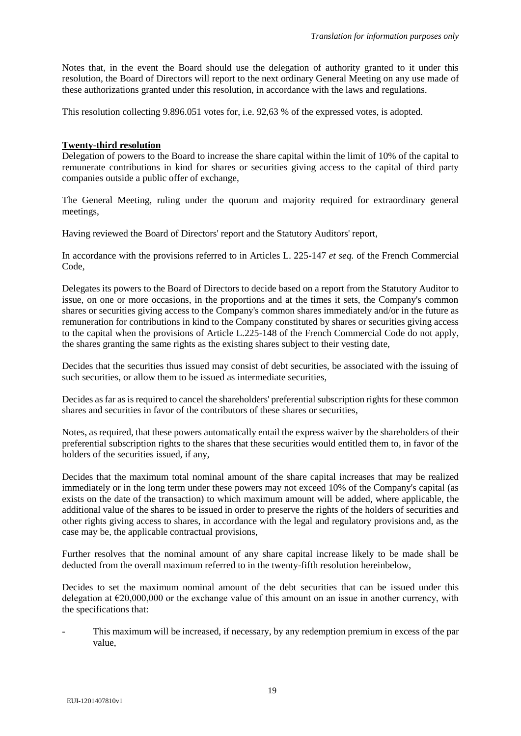Notes that, in the event the Board should use the delegation of authority granted to it under this resolution, the Board of Directors will report to the next ordinary General Meeting on any use made of these authorizations granted under this resolution, in accordance with the laws and regulations.

This resolution collecting 9.896.051 votes for, i.e. 92,63 % of the expressed votes, is adopted.

### **Twenty-third resolution**

Delegation of powers to the Board to increase the share capital within the limit of 10% of the capital to remunerate contributions in kind for shares or securities giving access to the capital of third party companies outside a public offer of exchange,

The General Meeting, ruling under the quorum and majority required for extraordinary general meetings,

Having reviewed the Board of Directors' report and the Statutory Auditors' report,

In accordance with the provisions referred to in Articles L. 225-147 *et seq.* of the French Commercial Code,

Delegates its powers to the Board of Directors to decide based on a report from the Statutory Auditor to issue, on one or more occasions, in the proportions and at the times it sets, the Company's common shares or securities giving access to the Company's common shares immediately and/or in the future as remuneration for contributions in kind to the Company constituted by shares or securities giving access to the capital when the provisions of Article L.225-148 of the French Commercial Code do not apply, the shares granting the same rights as the existing shares subject to their vesting date,

Decides that the securities thus issued may consist of debt securities, be associated with the issuing of such securities, or allow them to be issued as intermediate securities,

Decides as far as is required to cancel the shareholders' preferential subscription rights for these common shares and securities in favor of the contributors of these shares or securities,

Notes, as required, that these powers automatically entail the express waiver by the shareholders of their preferential subscription rights to the shares that these securities would entitled them to, in favor of the holders of the securities issued, if any,

Decides that the maximum total nominal amount of the share capital increases that may be realized immediately or in the long term under these powers may not exceed 10% of the Company's capital (as exists on the date of the transaction) to which maximum amount will be added, where applicable, the additional value of the shares to be issued in order to preserve the rights of the holders of securities and other rights giving access to shares, in accordance with the legal and regulatory provisions and, as the case may be, the applicable contractual provisions,

Further resolves that the nominal amount of any share capital increase likely to be made shall be deducted from the overall maximum referred to in the twenty-fifth resolution hereinbelow,

Decides to set the maximum nominal amount of the debt securities that can be issued under this delegation at  $\epsilon$ 20,000,000 or the exchange value of this amount on an issue in another currency, with the specifications that:

This maximum will be increased, if necessary, by any redemption premium in excess of the par value,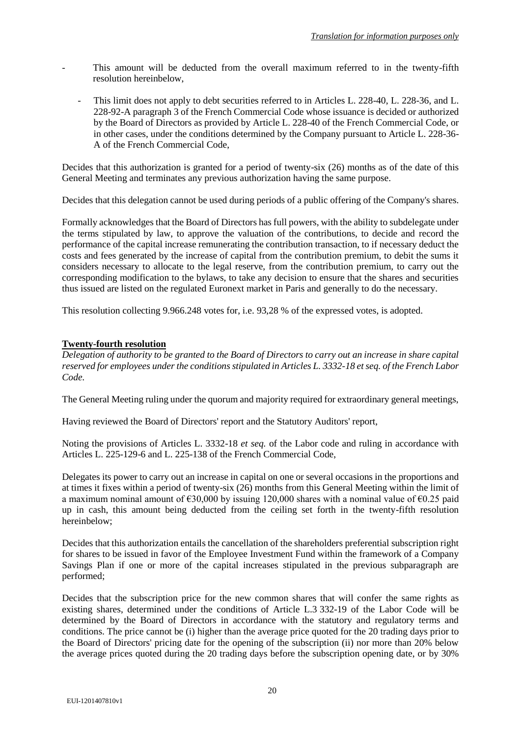- This amount will be deducted from the overall maximum referred to in the twenty-fifth resolution hereinbelow,
	- This limit does not apply to debt securities referred to in Articles L. 228-40, L. 228-36, and L. 228-92-A paragraph 3 of the French Commercial Code whose issuance is decided or authorized by the Board of Directors as provided by Article L. 228-40 of the French Commercial Code, or in other cases, under the conditions determined by the Company pursuant to Article L. 228-36- A of the French Commercial Code,

Decides that this authorization is granted for a period of twenty-six (26) months as of the date of this General Meeting and terminates any previous authorization having the same purpose.

Decides that this delegation cannot be used during periods of a public offering of the Company's shares.

Formally acknowledges that the Board of Directors has full powers, with the ability to subdelegate under the terms stipulated by law, to approve the valuation of the contributions, to decide and record the performance of the capital increase remunerating the contribution transaction, to if necessary deduct the costs and fees generated by the increase of capital from the contribution premium, to debit the sums it considers necessary to allocate to the legal reserve, from the contribution premium, to carry out the corresponding modification to the bylaws, to take any decision to ensure that the shares and securities thus issued are listed on the regulated Euronext market in Paris and generally to do the necessary.

This resolution collecting 9.966.248 votes for, i.e. 93,28 % of the expressed votes, is adopted.

# **Twenty-fourth resolution**

*Delegation of authority to be granted to the Board of Directors to carry out an increase in share capital reserved for employees under the conditions stipulated in Articles L. 3332-18 et seq. of the French Labor Code.*

The General Meeting ruling under the quorum and majority required for extraordinary general meetings,

Having reviewed the Board of Directors' report and the Statutory Auditors' report,

Noting the provisions of Articles L. 3332-18 *et seq.* of the Labor code and ruling in accordance with Articles L. 225-129-6 and L. 225-138 of the French Commercial Code,

Delegates its power to carry out an increase in capital on one or several occasions in the proportions and at times it fixes within a period of twenty-six (26) months from this General Meeting within the limit of a maximum nominal amount of  $\epsilon$ 30,000 by issuing 120,000 shares with a nominal value of  $\epsilon$ 0.25 paid up in cash, this amount being deducted from the ceiling set forth in the twenty-fifth resolution hereinbelow;

Decides that this authorization entails the cancellation of the shareholders preferential subscription right for shares to be issued in favor of the Employee Investment Fund within the framework of a Company Savings Plan if one or more of the capital increases stipulated in the previous subparagraph are performed;

Decides that the subscription price for the new common shares that will confer the same rights as existing shares, determined under the conditions of Article L.3 332-19 of the Labor Code will be determined by the Board of Directors in accordance with the statutory and regulatory terms and conditions. The price cannot be (i) higher than the average price quoted for the 20 trading days prior to the Board of Directors' pricing date for the opening of the subscription (ii) nor more than 20% below the average prices quoted during the 20 trading days before the subscription opening date, or by 30%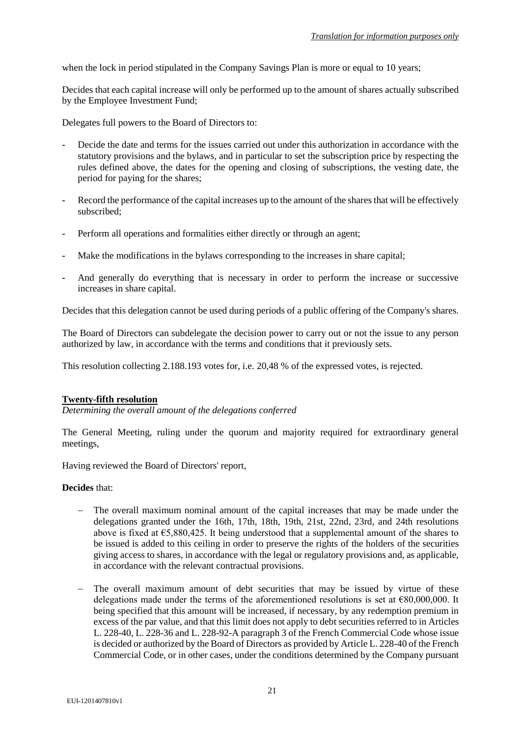when the lock in period stipulated in the Company Savings Plan is more or equal to 10 years;

Decides that each capital increase will only be performed up to the amount of shares actually subscribed by the Employee Investment Fund;

Delegates full powers to the Board of Directors to:

- **-** Decide the date and terms for the issues carried out under this authorization in accordance with the statutory provisions and the bylaws, and in particular to set the subscription price by respecting the rules defined above, the dates for the opening and closing of subscriptions, the vesting date, the period for paying for the shares;
- **-** Record the performance of the capital increases up to the amount of the shares that will be effectively subscribed;
- **-** Perform all operations and formalities either directly or through an agent;
- **-** Make the modifications in the bylaws corresponding to the increases in share capital;
- **-** And generally do everything that is necessary in order to perform the increase or successive increases in share capital.

Decides that this delegation cannot be used during periods of a public offering of the Company's shares.

The Board of Directors can subdelegate the decision power to carry out or not the issue to any person authorized by law, in accordance with the terms and conditions that it previously sets.

This resolution collecting 2.188.193 votes for, i.e. 20,48 % of the expressed votes, is rejected.

#### **Twenty-fifth resolution**

*Determining the overall amount of the delegations conferred*

The General Meeting, ruling under the quorum and majority required for extraordinary general meetings,

Having reviewed the Board of Directors' report,

#### **Decides** that:

- The overall maximum nominal amount of the capital increases that may be made under the delegations granted under the 16th, 17th, 18th, 19th, 21st, 22nd, 23rd, and 24th resolutions above is fixed at  $\epsilon$ 5,880,425. It being understood that a supplemental amount of the shares to be issued is added to this ceiling in order to preserve the rights of the holders of the securities giving access to shares, in accordance with the legal or regulatory provisions and, as applicable, in accordance with the relevant contractual provisions.
- The overall maximum amount of debt securities that may be issued by virtue of these delegations made under the terms of the aforementioned resolutions is set at  $€80,000,000$ . It being specified that this amount will be increased, if necessary, by any redemption premium in excess of the par value, and that this limit does not apply to debt securities referred to in Articles L. 228-40, L. 228-36 and L. 228-92-A paragraph 3 of the French Commercial Code whose issue is decided or authorized by the Board of Directors as provided by Article L. 228-40 of the French Commercial Code, or in other cases, under the conditions determined by the Company pursuant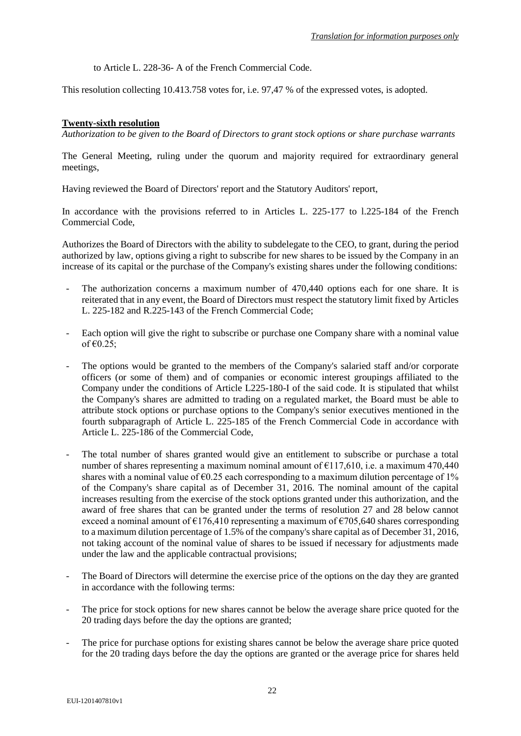to Article L. 228-36- A of the French Commercial Code.

This resolution collecting 10.413.758 votes for, i.e. 97,47 % of the expressed votes, is adopted.

# **Twenty-sixth resolution**

*Authorization to be given to the Board of Directors to grant stock options or share purchase warrants*

The General Meeting, ruling under the quorum and majority required for extraordinary general meetings,

Having reviewed the Board of Directors' report and the Statutory Auditors' report,

In accordance with the provisions referred to in Articles L. 225-177 to l.225-184 of the French Commercial Code,

Authorizes the Board of Directors with the ability to subdelegate to the CEO, to grant, during the period authorized by law, options giving a right to subscribe for new shares to be issued by the Company in an increase of its capital or the purchase of the Company's existing shares under the following conditions:

- The authorization concerns a maximum number of 470,440 options each for one share. It is reiterated that in any event, the Board of Directors must respect the statutory limit fixed by Articles L. 225-182 and R.225-143 of the French Commercial Code;
- Each option will give the right to subscribe or purchase one Company share with a nominal value of  $\epsilon$ 0.25;
- The options would be granted to the members of the Company's salaried staff and/or corporate officers (or some of them) and of companies or economic interest groupings affiliated to the Company under the conditions of Article L225-180-I of the said code. It is stipulated that whilst the Company's shares are admitted to trading on a regulated market, the Board must be able to attribute stock options or purchase options to the Company's senior executives mentioned in the fourth subparagraph of Article L. 225-185 of the French Commercial Code in accordance with Article L. 225-186 of the Commercial Code,
- The total number of shares granted would give an entitlement to subscribe or purchase a total number of shares representing a maximum nominal amount of  $\epsilon$ 117.610, i.e. a maximum 470.440 shares with a nominal value of  $\epsilon$ 0.25 each corresponding to a maximum dilution percentage of 1% of the Company's share capital as of December 31, 2016. The nominal amount of the capital increases resulting from the exercise of the stock options granted under this authorization, and the award of free shares that can be granted under the terms of resolution 27 and 28 below cannot exceed a nominal amount of  $\epsilon$ 176,410 representing a maximum of  $\epsilon$ 705,640 shares corresponding to a maximum dilution percentage of 1.5% of the company's share capital as of December 31, 2016, not taking account of the nominal value of shares to be issued if necessary for adjustments made under the law and the applicable contractual provisions;
- The Board of Directors will determine the exercise price of the options on the day they are granted in accordance with the following terms:
- The price for stock options for new shares cannot be below the average share price quoted for the 20 trading days before the day the options are granted;
- The price for purchase options for existing shares cannot be below the average share price quoted for the 20 trading days before the day the options are granted or the average price for shares held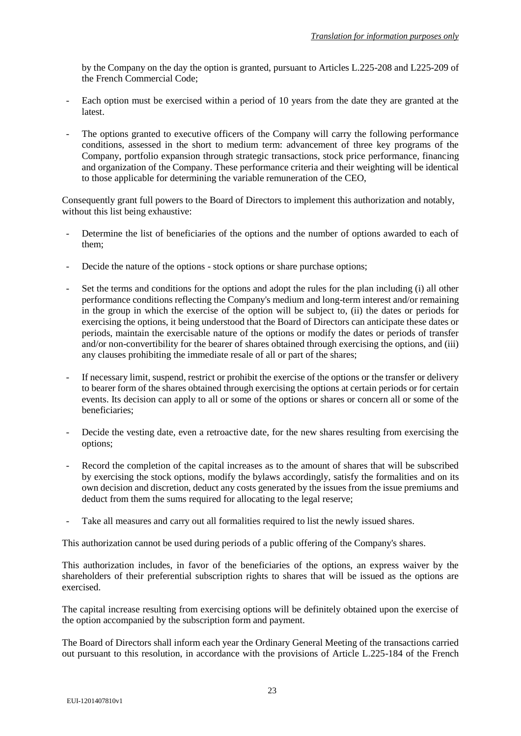by the Company on the day the option is granted, pursuant to Articles L.225-208 and L225-209 of the French Commercial Code;

- Each option must be exercised within a period of 10 years from the date they are granted at the latest.
- The options granted to executive officers of the Company will carry the following performance conditions, assessed in the short to medium term: advancement of three key programs of the Company, portfolio expansion through strategic transactions, stock price performance, financing and organization of the Company. These performance criteria and their weighting will be identical to those applicable for determining the variable remuneration of the CEO,

Consequently grant full powers to the Board of Directors to implement this authorization and notably, without this list being exhaustive:

- Determine the list of beneficiaries of the options and the number of options awarded to each of them;
- Decide the nature of the options stock options or share purchase options;
- Set the terms and conditions for the options and adopt the rules for the plan including (i) all other performance conditions reflecting the Company's medium and long-term interest and/or remaining in the group in which the exercise of the option will be subject to, (ii) the dates or periods for exercising the options, it being understood that the Board of Directors can anticipate these dates or periods, maintain the exercisable nature of the options or modify the dates or periods of transfer and/or non-convertibility for the bearer of shares obtained through exercising the options, and (iii) any clauses prohibiting the immediate resale of all or part of the shares;
- If necessary limit, suspend, restrict or prohibit the exercise of the options or the transfer or delivery to bearer form of the shares obtained through exercising the options at certain periods or for certain events. Its decision can apply to all or some of the options or shares or concern all or some of the beneficiaries;
- Decide the vesting date, even a retroactive date, for the new shares resulting from exercising the options;
- Record the completion of the capital increases as to the amount of shares that will be subscribed by exercising the stock options, modify the bylaws accordingly, satisfy the formalities and on its own decision and discretion, deduct any costs generated by the issues from the issue premiums and deduct from them the sums required for allocating to the legal reserve;
- Take all measures and carry out all formalities required to list the newly issued shares.

This authorization cannot be used during periods of a public offering of the Company's shares.

This authorization includes, in favor of the beneficiaries of the options, an express waiver by the shareholders of their preferential subscription rights to shares that will be issued as the options are exercised.

The capital increase resulting from exercising options will be definitely obtained upon the exercise of the option accompanied by the subscription form and payment.

The Board of Directors shall inform each year the Ordinary General Meeting of the transactions carried out pursuant to this resolution, in accordance with the provisions of Article L.225-184 of the French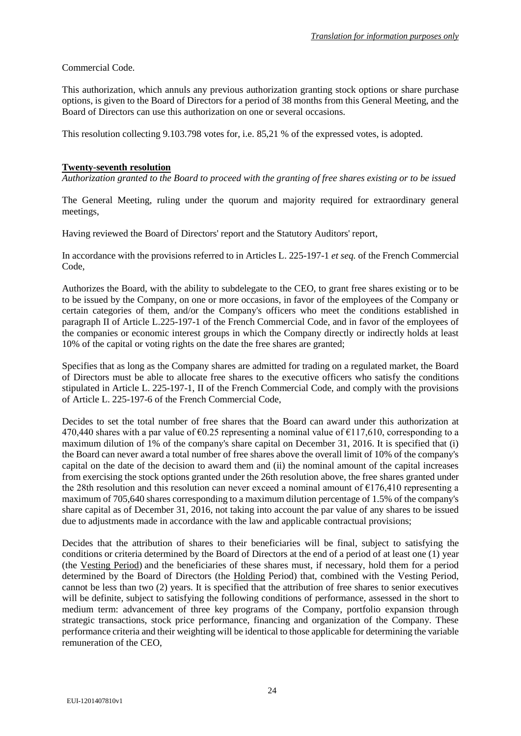Commercial Code.

This authorization, which annuls any previous authorization granting stock options or share purchase options, is given to the Board of Directors for a period of 38 months from this General Meeting, and the Board of Directors can use this authorization on one or several occasions.

This resolution collecting 9.103.798 votes for, i.e. 85,21 % of the expressed votes, is adopted.

## **Twenty-seventh resolution**

*Authorization granted to the Board to proceed with the granting of free shares existing or to be issued* 

The General Meeting, ruling under the quorum and majority required for extraordinary general meetings,

Having reviewed the Board of Directors' report and the Statutory Auditors' report,

In accordance with the provisions referred to in Articles L. 225-197-1 *et seq.* of the French Commercial Code,

Authorizes the Board, with the ability to subdelegate to the CEO, to grant free shares existing or to be to be issued by the Company, on one or more occasions, in favor of the employees of the Company or certain categories of them, and/or the Company's officers who meet the conditions established in paragraph II of Article L.225-197-1 of the French Commercial Code, and in favor of the employees of the companies or economic interest groups in which the Company directly or indirectly holds at least 10% of the capital or voting rights on the date the free shares are granted;

Specifies that as long as the Company shares are admitted for trading on a regulated market, the Board of Directors must be able to allocate free shares to the executive officers who satisfy the conditions stipulated in Article L. 225-197-1, II of the French Commercial Code, and comply with the provisions of Article L. 225-197-6 of the French Commercial Code,

Decides to set the total number of free shares that the Board can award under this authorization at 470,440 shares with a par value of  $\epsilon$ 0.25 representing a nominal value of  $\epsilon$ 117,610, corresponding to a maximum dilution of 1% of the company's share capital on December 31, 2016. It is specified that (i) the Board can never award a total number of free shares above the overall limit of 10% of the company's capital on the date of the decision to award them and (ii) the nominal amount of the capital increases from exercising the stock options granted under the 26th resolution above, the free shares granted under the 28th resolution and this resolution can never exceed a nominal amount of  $\epsilon$ 176,410 representing a maximum of 705,640 shares corresponding to a maximum dilution percentage of 1.5% of the company's share capital as of December 31, 2016, not taking into account the par value of any shares to be issued due to adjustments made in accordance with the law and applicable contractual provisions;

Decides that the attribution of shares to their beneficiaries will be final, subject to satisfying the conditions or criteria determined by the Board of Directors at the end of a period of at least one (1) year (the Vesting Period) and the beneficiaries of these shares must, if necessary, hold them for a period determined by the Board of Directors (the Holding Period) that, combined with the Vesting Period, cannot be less than two (2) years. It is specified that the attribution of free shares to senior executives will be definite, subject to satisfying the following conditions of performance, assessed in the short to medium term: advancement of three key programs of the Company, portfolio expansion through strategic transactions, stock price performance, financing and organization of the Company. These performance criteria and their weighting will be identical to those applicable for determining the variable remuneration of the CEO,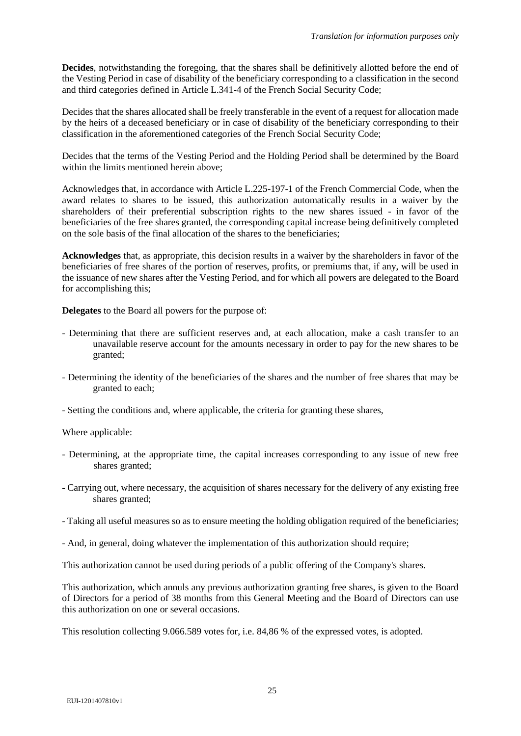**Decides**, notwithstanding the foregoing, that the shares shall be definitively allotted before the end of the Vesting Period in case of disability of the beneficiary corresponding to a classification in the second and third categories defined in Article L.341-4 of the French Social Security Code;

Decides that the shares allocated shall be freely transferable in the event of a request for allocation made by the heirs of a deceased beneficiary or in case of disability of the beneficiary corresponding to their classification in the aforementioned categories of the French Social Security Code;

Decides that the terms of the Vesting Period and the Holding Period shall be determined by the Board within the limits mentioned herein above;

Acknowledges that, in accordance with Article L.225-197-1 of the French Commercial Code, when the award relates to shares to be issued, this authorization automatically results in a waiver by the shareholders of their preferential subscription rights to the new shares issued - in favor of the beneficiaries of the free shares granted, the corresponding capital increase being definitively completed on the sole basis of the final allocation of the shares to the beneficiaries;

**Acknowledges** that, as appropriate, this decision results in a waiver by the shareholders in favor of the beneficiaries of free shares of the portion of reserves, profits, or premiums that, if any, will be used in the issuance of new shares after the Vesting Period, and for which all powers are delegated to the Board for accomplishing this;

**Delegates** to the Board all powers for the purpose of:

- Determining that there are sufficient reserves and, at each allocation, make a cash transfer to an unavailable reserve account for the amounts necessary in order to pay for the new shares to be granted;
- Determining the identity of the beneficiaries of the shares and the number of free shares that may be granted to each;
- Setting the conditions and, where applicable, the criteria for granting these shares,

Where applicable:

- Determining, at the appropriate time, the capital increases corresponding to any issue of new free shares granted;
- Carrying out, where necessary, the acquisition of shares necessary for the delivery of any existing free shares granted;
- Taking all useful measures so as to ensure meeting the holding obligation required of the beneficiaries;
- And, in general, doing whatever the implementation of this authorization should require;

This authorization cannot be used during periods of a public offering of the Company's shares.

This authorization, which annuls any previous authorization granting free shares, is given to the Board of Directors for a period of 38 months from this General Meeting and the Board of Directors can use this authorization on one or several occasions.

This resolution collecting 9.066.589 votes for, i.e. 84,86 % of the expressed votes, is adopted.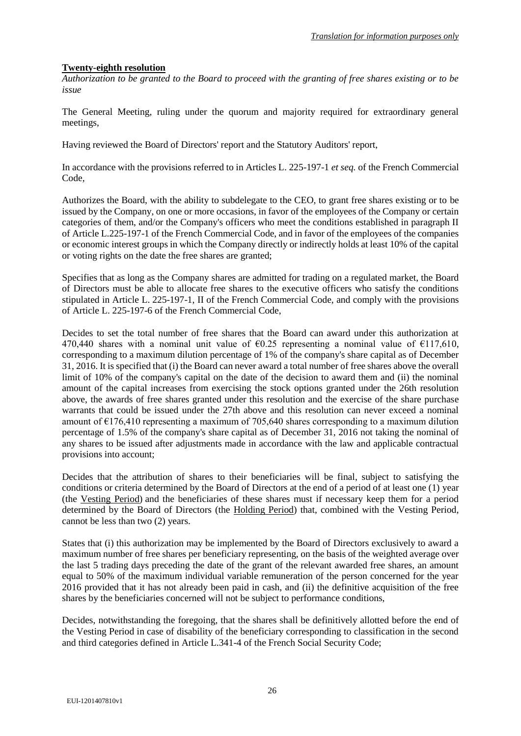## **Twenty-eighth resolution**

*Authorization to be granted to the Board to proceed with the granting of free shares existing or to be issue* 

The General Meeting, ruling under the quorum and majority required for extraordinary general meetings,

Having reviewed the Board of Directors' report and the Statutory Auditors' report,

In accordance with the provisions referred to in Articles L. 225-197-1 *et seq.* of the French Commercial Code,

Authorizes the Board, with the ability to subdelegate to the CEO, to grant free shares existing or to be issued by the Company, on one or more occasions, in favor of the employees of the Company or certain categories of them, and/or the Company's officers who meet the conditions established in paragraph II of Article L.225-197-1 of the French Commercial Code, and in favor of the employees of the companies or economic interest groups in which the Company directly or indirectly holds at least 10% of the capital or voting rights on the date the free shares are granted;

Specifies that as long as the Company shares are admitted for trading on a regulated market, the Board of Directors must be able to allocate free shares to the executive officers who satisfy the conditions stipulated in Article L. 225-197-1, II of the French Commercial Code, and comply with the provisions of Article L. 225-197-6 of the French Commercial Code,

Decides to set the total number of free shares that the Board can award under this authorization at 470,440 shares with a nominal unit value of  $\epsilon$ 0.25 representing a nominal value of  $\epsilon$ 117,610, corresponding to a maximum dilution percentage of 1% of the company's share capital as of December 31, 2016. It is specified that (i) the Board can never award a total number of free shares above the overall limit of 10% of the company's capital on the date of the decision to award them and (ii) the nominal amount of the capital increases from exercising the stock options granted under the 26th resolution above, the awards of free shares granted under this resolution and the exercise of the share purchase warrants that could be issued under the 27th above and this resolution can never exceed a nominal amount of  $E176,410$  representing a maximum of 705,640 shares corresponding to a maximum dilution percentage of 1.5% of the company's share capital as of December 31, 2016 not taking the nominal of any shares to be issued after adjustments made in accordance with the law and applicable contractual provisions into account;

Decides that the attribution of shares to their beneficiaries will be final, subject to satisfying the conditions or criteria determined by the Board of Directors at the end of a period of at least one (1) year (the Vesting Period) and the beneficiaries of these shares must if necessary keep them for a period determined by the Board of Directors (the Holding Period) that, combined with the Vesting Period, cannot be less than two (2) years.

States that (i) this authorization may be implemented by the Board of Directors exclusively to award a maximum number of free shares per beneficiary representing, on the basis of the weighted average over the last 5 trading days preceding the date of the grant of the relevant awarded free shares, an amount equal to 50% of the maximum individual variable remuneration of the person concerned for the year 2016 provided that it has not already been paid in cash, and (ii) the definitive acquisition of the free shares by the beneficiaries concerned will not be subject to performance conditions,

Decides, notwithstanding the foregoing, that the shares shall be definitively allotted before the end of the Vesting Period in case of disability of the beneficiary corresponding to classification in the second and third categories defined in Article L.341-4 of the French Social Security Code;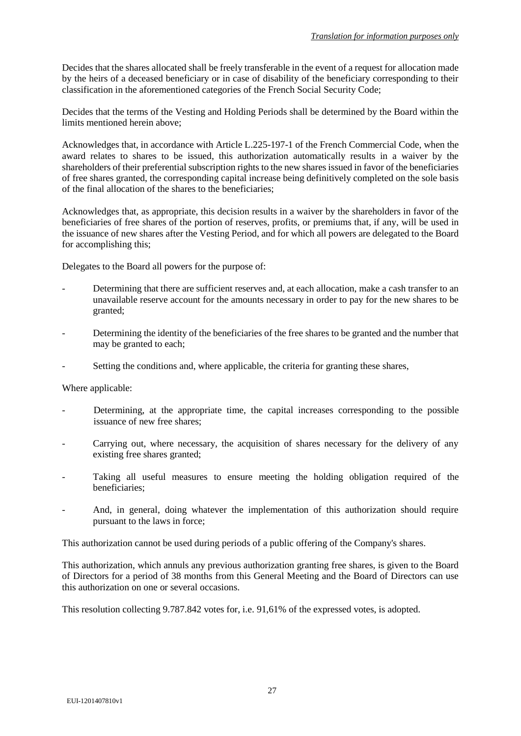Decides that the shares allocated shall be freely transferable in the event of a request for allocation made by the heirs of a deceased beneficiary or in case of disability of the beneficiary corresponding to their classification in the aforementioned categories of the French Social Security Code;

Decides that the terms of the Vesting and Holding Periods shall be determined by the Board within the limits mentioned herein above;

Acknowledges that, in accordance with Article L.225-197-1 of the French Commercial Code, when the award relates to shares to be issued, this authorization automatically results in a waiver by the shareholders of their preferential subscription rights to the new shares issued in favor of the beneficiaries of free shares granted, the corresponding capital increase being definitively completed on the sole basis of the final allocation of the shares to the beneficiaries;

Acknowledges that, as appropriate, this decision results in a waiver by the shareholders in favor of the beneficiaries of free shares of the portion of reserves, profits, or premiums that, if any, will be used in the issuance of new shares after the Vesting Period, and for which all powers are delegated to the Board for accomplishing this;

Delegates to the Board all powers for the purpose of:

- Determining that there are sufficient reserves and, at each allocation, make a cash transfer to an unavailable reserve account for the amounts necessary in order to pay for the new shares to be granted;
- Determining the identity of the beneficiaries of the free shares to be granted and the number that may be granted to each;
- Setting the conditions and, where applicable, the criteria for granting these shares,

Where applicable:

- Determining, at the appropriate time, the capital increases corresponding to the possible issuance of new free shares;
- Carrying out, where necessary, the acquisition of shares necessary for the delivery of any existing free shares granted;
- Taking all useful measures to ensure meeting the holding obligation required of the beneficiaries;
- And, in general, doing whatever the implementation of this authorization should require pursuant to the laws in force;

This authorization cannot be used during periods of a public offering of the Company's shares.

This authorization, which annuls any previous authorization granting free shares, is given to the Board of Directors for a period of 38 months from this General Meeting and the Board of Directors can use this authorization on one or several occasions.

This resolution collecting 9.787.842 votes for, i.e. 91,61% of the expressed votes, is adopted.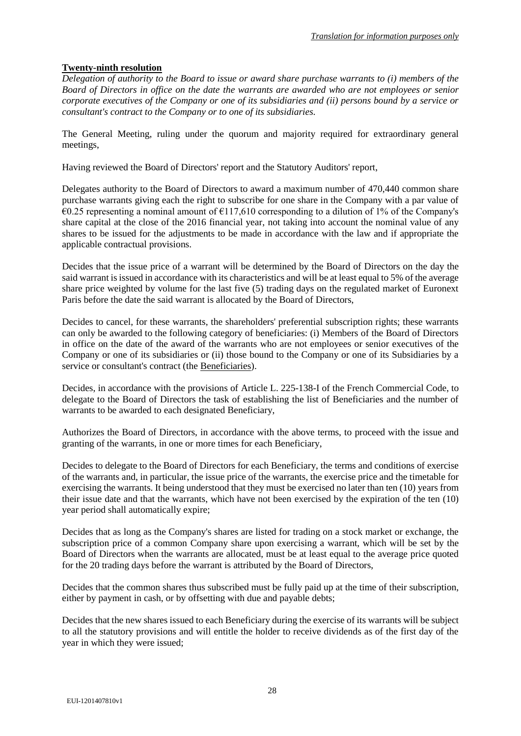# **Twenty-ninth resolution**

*Delegation of authority to the Board to issue or award share purchase warrants to (i) members of the Board of Directors in office on the date the warrants are awarded who are not employees or senior corporate executives of the Company or one of its subsidiaries and (ii) persons bound by a service or consultant's contract to the Company or to one of its subsidiaries.*

The General Meeting, ruling under the quorum and majority required for extraordinary general meetings,

Having reviewed the Board of Directors' report and the Statutory Auditors' report,

Delegates authority to the Board of Directors to award a maximum number of 470,440 common share purchase warrants giving each the right to subscribe for one share in the Company with a par value of  $€0.25$  representing a nominal amount of  $€117,610$  corresponding to a dilution of 1% of the Company's share capital at the close of the 2016 financial year, not taking into account the nominal value of any shares to be issued for the adjustments to be made in accordance with the law and if appropriate the applicable contractual provisions.

Decides that the issue price of a warrant will be determined by the Board of Directors on the day the said warrant is issued in accordance with its characteristics and will be at least equal to 5% of the average share price weighted by volume for the last five (5) trading days on the regulated market of Euronext Paris before the date the said warrant is allocated by the Board of Directors,

Decides to cancel, for these warrants, the shareholders' preferential subscription rights; these warrants can only be awarded to the following category of beneficiaries: (i) Members of the Board of Directors in office on the date of the award of the warrants who are not employees or senior executives of the Company or one of its subsidiaries or (ii) those bound to the Company or one of its Subsidiaries by a service or consultant's contract (the Beneficiaries).

Decides, in accordance with the provisions of Article L. 225-138-I of the French Commercial Code, to delegate to the Board of Directors the task of establishing the list of Beneficiaries and the number of warrants to be awarded to each designated Beneficiary,

Authorizes the Board of Directors, in accordance with the above terms, to proceed with the issue and granting of the warrants, in one or more times for each Beneficiary,

Decides to delegate to the Board of Directors for each Beneficiary, the terms and conditions of exercise of the warrants and, in particular, the issue price of the warrants, the exercise price and the timetable for exercising the warrants. It being understood that they must be exercised no later than ten (10) years from their issue date and that the warrants, which have not been exercised by the expiration of the ten (10) year period shall automatically expire;

Decides that as long as the Company's shares are listed for trading on a stock market or exchange, the subscription price of a common Company share upon exercising a warrant, which will be set by the Board of Directors when the warrants are allocated, must be at least equal to the average price quoted for the 20 trading days before the warrant is attributed by the Board of Directors,

Decides that the common shares thus subscribed must be fully paid up at the time of their subscription, either by payment in cash, or by offsetting with due and payable debts;

Decides that the new shares issued to each Beneficiary during the exercise of its warrants will be subject to all the statutory provisions and will entitle the holder to receive dividends as of the first day of the year in which they were issued;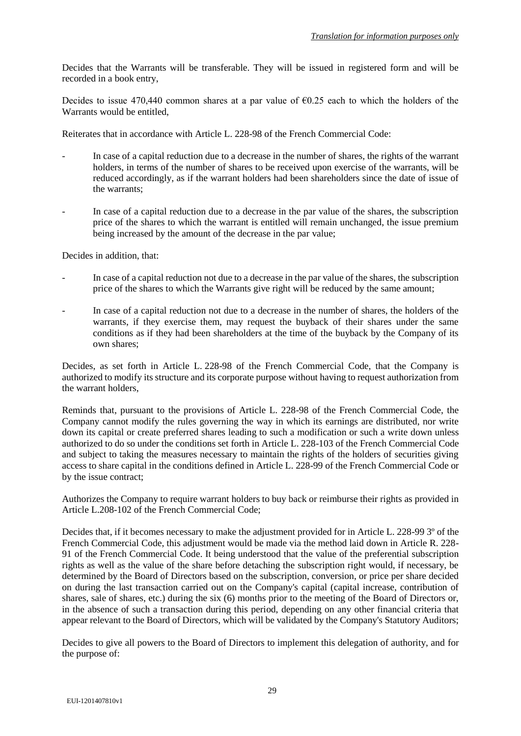Decides that the Warrants will be transferable. They will be issued in registered form and will be recorded in a book entry,

Decides to issue 470,440 common shares at a par value of  $\epsilon$ 0.25 each to which the holders of the Warrants would be entitled,

Reiterates that in accordance with Article L. 228-98 of the French Commercial Code:

- In case of a capital reduction due to a decrease in the number of shares, the rights of the warrant holders, in terms of the number of shares to be received upon exercise of the warrants, will be reduced accordingly, as if the warrant holders had been shareholders since the date of issue of the warrants;
- In case of a capital reduction due to a decrease in the par value of the shares, the subscription price of the shares to which the warrant is entitled will remain unchanged, the issue premium being increased by the amount of the decrease in the par value;

Decides in addition, that:

- In case of a capital reduction not due to a decrease in the par value of the shares, the subscription price of the shares to which the Warrants give right will be reduced by the same amount;
- In case of a capital reduction not due to a decrease in the number of shares, the holders of the warrants, if they exercise them, may request the buyback of their shares under the same conditions as if they had been shareholders at the time of the buyback by the Company of its own shares;

Decides, as set forth in Article L. 228-98 of the French Commercial Code, that the Company is authorized to modify its structure and its corporate purpose without having to request authorization from the warrant holders,

Reminds that, pursuant to the provisions of Article L. 228-98 of the French Commercial Code, the Company cannot modify the rules governing the way in which its earnings are distributed, nor write down its capital or create preferred shares leading to such a modification or such a write down unless authorized to do so under the conditions set forth in Article L. 228-103 of the French Commercial Code and subject to taking the measures necessary to maintain the rights of the holders of securities giving access to share capital in the conditions defined in Article L. 228-99 of the French Commercial Code or by the issue contract;

Authorizes the Company to require warrant holders to buy back or reimburse their rights as provided in Article L.208-102 of the French Commercial Code;

Decides that, if it becomes necessary to make the adjustment provided for in Article L. 228-99 3º of the French Commercial Code, this adjustment would be made via the method laid down in Article R. 228- 91 of the French Commercial Code. It being understood that the value of the preferential subscription rights as well as the value of the share before detaching the subscription right would, if necessary, be determined by the Board of Directors based on the subscription, conversion, or price per share decided on during the last transaction carried out on the Company's capital (capital increase, contribution of shares, sale of shares, etc.) during the six (6) months prior to the meeting of the Board of Directors or, in the absence of such a transaction during this period, depending on any other financial criteria that appear relevant to the Board of Directors, which will be validated by the Company's Statutory Auditors;

Decides to give all powers to the Board of Directors to implement this delegation of authority, and for the purpose of: